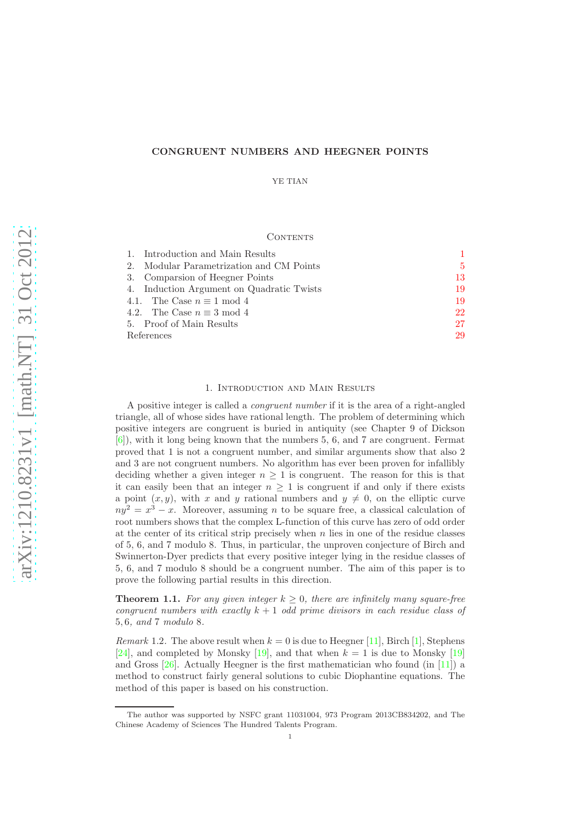# CONGRUENT NUMBERS AND HEEGNER POINTS

YE TIAN

### CONTENTS

|            | 1. Introduction and Main Results          |     |
|------------|-------------------------------------------|-----|
|            | 2. Modular Parametrization and CM Points  | -5. |
|            | 3. Comparsion of Heegner Points           | 13  |
|            | 4. Induction Argument on Quadratic Twists | 19  |
|            | 4.1. The Case $n \equiv 1 \mod 4$         | 19  |
|            | 4.2. The Case $n \equiv 3 \mod 4$         | 22  |
|            | 5. Proof of Main Results                  | 27  |
| References |                                           | 29  |

## 1. Introduction and Main Results

<span id="page-0-0"></span>A positive integer is called a *congruent number* if it is the area of a right-angled triangle, all of whose sides have rational length. The problem of determining which positive integers are congruent is buried in antiquity (see Chapter 9 of Dickson [\[6\]](#page-28-1)), with it long being known that the numbers 5, 6, and 7 are congruent. Fermat proved that 1 is not a congruent number, and similar arguments show that also 2 and 3 are not congruent numbers. No algorithm has ever been proven for infallibly deciding whether a given integer  $n \geq 1$  is congruent. The reason for this is that it can easily been that an integer  $n \geq 1$  is congruent if and only if there exists a point  $(x, y)$ , with x and y rational numbers and  $y \neq 0$ , on the elliptic curve  $ny^2 = x^3 - x$ . Moreover, assuming *n* to be square free, a classical calculation of root numbers shows that the complex L-function of this curve has zero of odd order at the center of its critical strip precisely when  $n$  lies in one of the residue classes of 5, 6, and 7 modulo 8. Thus, in particular, the unproven conjecture of Birch and Swinnerton-Dyer predicts that every positive integer lying in the residue classes of 5, 6, and 7 modulo 8 should be a congruent number. The aim of this paper is to prove the following partial results in this direction.

<span id="page-0-1"></span>**Theorem 1.1.** *For any given integer*  $k \geq 0$ *, there are infinitely many square-free congruent numbers with exactly* k + 1 *odd prime divisors in each residue class of* 5, 6*, and* 7 *modulo* 8*.*

*Remark* 1.2. The above result when  $k = 0$  is due to Heegner [\[11\]](#page-29-0), Birch [\[1\]](#page-28-2), Stephens [\[24\]](#page-29-1), and completed by Monsky [\[19\]](#page-29-2), and that when  $k = 1$  is due to Monsky [19] and Gross  $[26]$ . Actually Heegner is the first mathematician who found (in [\[11\]](#page-29-0)) a method to construct fairly general solutions to cubic Diophantine equations. The method of this paper is based on his construction.

The author was supported by NSFC grant 11031004, 973 Program 2013CB834202, and The Chinese Academy of Sciences The Hundred Talents Program.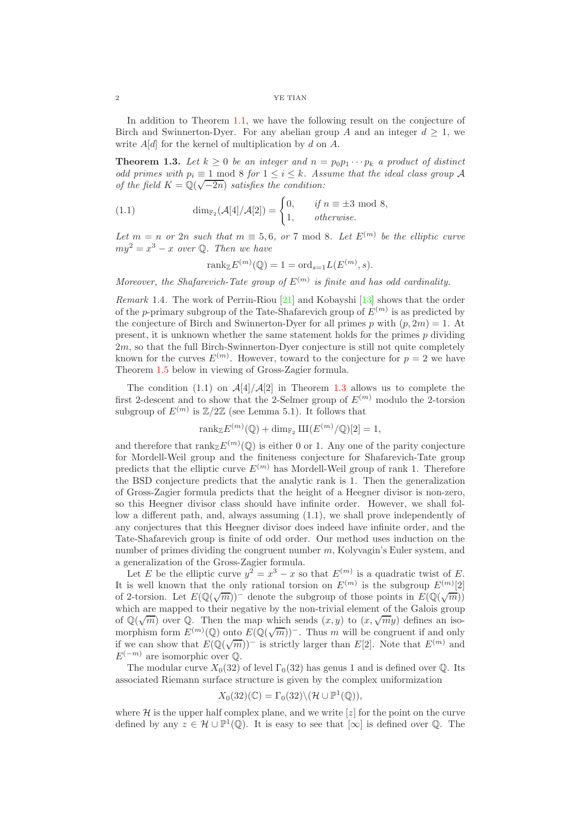In addition to Theorem [1.1,](#page-0-1) we have the following result on the conjecture of Birch and Swinnerton-Dyer. For any abelian group A and an integer  $d \geq 1$ , we write  $A[d]$  for the kernel of multiplication by d on A.

<span id="page-1-0"></span>**Theorem 1.3.** Let  $k \geq 0$  be an integer and  $n = p_0 p_1 \cdots p_k$  a product of distinct *odd primes with*  $p_i \equiv 1 \mod 8$  *for*  $1 \leq i \leq k$ *. Assume that the ideal class group* A *of the field*  $K = \mathbb{Q}(\sqrt{-2n})$  *satisfies the condition:* 

(1.1) 
$$
\dim_{\mathbb{F}_2}(\mathcal{A}[4]/\mathcal{A}[2]) = \begin{cases} 0, & \text{if } n \equiv \pm 3 \text{ mod } 8, \\ 1, & \text{otherwise.} \end{cases}
$$

Let  $m = n$  or  $2n$  such that  $m \equiv 5, 6, \text{ or } 7 \mod 8$ . Let  $E^{(m)}$  be the elliptic curve  $my^2 = x^3 - x$  *over*  $\mathbb{Q}$ *. Then we have* 

$$
rank_{\mathbb{Z}} E^{(m)}(\mathbb{Q}) = 1 = \text{ord}_{s=1} L(E^{(m)}, s).
$$

Moreover, the Shafarevich-Tate group of  $E^{(m)}$  is finite and has odd cardinality.

*Remark* 1.4*.* The work of Perrin-Riou [\[21\]](#page-29-4) and Kobayshi [\[13\]](#page-29-5) shows that the order of the p-primary subgroup of the Tate-Shafarevich group of  $E^{(m)}$  is as predicted by the conjecture of Birch and Swinnerton-Dyer for all primes p with  $(p, 2m) = 1$ . At present, it is unknown whether the same statement holds for the primes p dividing 2m, so that the full Birch-Swinnerton-Dyer conjecture is still not quite completely known for the curves  $E^{(m)}$ . However, toward to the conjecture for  $p=2$  we have Theorem [1.5](#page-2-0) below in viewing of Gross-Zagier formula.

The condition (1.1) on  $\mathcal{A}[4]/\mathcal{A}[2]$  in Theorem [1.3](#page-1-0) allows us to complete the first 2-descent and to show that the 2-Selmer group of  $E^{(m)}$  modulo the 2-torsion subgroup of  $E^{(m)}$  is  $\mathbb{Z}/2\mathbb{Z}$  (see Lemma 5.1). It follows that

$$
\operatorname{rank}_{\mathbb{Z}} E^{(m)}(\mathbb{Q}) + \dim_{\mathbb{F}_2} \operatorname{III}(E^{(m)}/\mathbb{Q})[2] = 1,
$$

and therefore that  $\text{rank}_{\mathbb{Z}} E^{(m)}(\mathbb{Q})$  is either 0 or 1. Any one of the parity conjecture for Mordell-Weil group and the finiteness conjecture for Shafarevich-Tate group predicts that the elliptic curve  $E^{(m)}$  has Mordell-Weil group of rank 1. Therefore the BSD conjecture predicts that the analytic rank is 1. Then the generalization of Gross-Zagier formula predicts that the height of a Heegner divisor is non-zero, so this Heegner divisor class should have infinite order. However, we shall follow a different path, and, always assuming (1.1), we shall prove independently of any conjectures that this Heegner divisor does indeed have infinite order, and the Tate-Shafarevich group is finite of odd order. Our method uses induction on the number of primes dividing the congruent number m, Kolyvagin's Euler system, and a generalization of the Gross-Zagier formula.

Let E be the elliptic curve  $y^2 = x^3 - x$  so that  $E^{(m)}$  is a quadratic twist of E. It is well known that the only rational torsion on  $E^{(m)}$  is the subgroup  $E^{(m)}[2]$ of 2-torsion. Let  $E(\mathbb{Q}(\sqrt{m}))$ <sup>-</sup> denote the subgroup of those points in  $E(\mathbb{Q}(\sqrt{m}))$ which are mapped to their negative by the non-trivial element of the Galois group of  $\mathbb{Q}(\sqrt{m})$  over  $\mathbb{Q}$ . Then the map which sends  $(x, y)$  to  $(x, \sqrt{m}y)$  defines an isomorphism form  $E^{(m)}(\mathbb{Q})$  onto  $E(\mathbb{Q}(\sqrt{m}))^-$ . Thus m will be congruent if and only if we can show that  $E(\mathbb{Q}(\sqrt{m}))^-$  is strictly larger than  $E[2]$ . Note that  $E^{(m)}$  and  $E^{(-m)}$  are isomorphic over  $\mathbb{Q}$ .

The modular curve  $X_0(32)$  of level  $\Gamma_0(32)$  has genus 1 and is defined over Q. Its associated Riemann surface structure is given by the complex uniformization

# $X_0(32)(\mathbb{C}) = \Gamma_0(32) \backslash (\mathcal{H} \cup \mathbb{P}^1(\mathbb{Q})),$

where  $\mathcal H$  is the upper half complex plane, and we write [z] for the point on the curve defined by any  $z \in \mathcal{H} \cup \mathbb{P}^1(\mathbb{Q})$ . It is easy to see that  $[\infty]$  is defined over  $\mathbb{Q}$ . The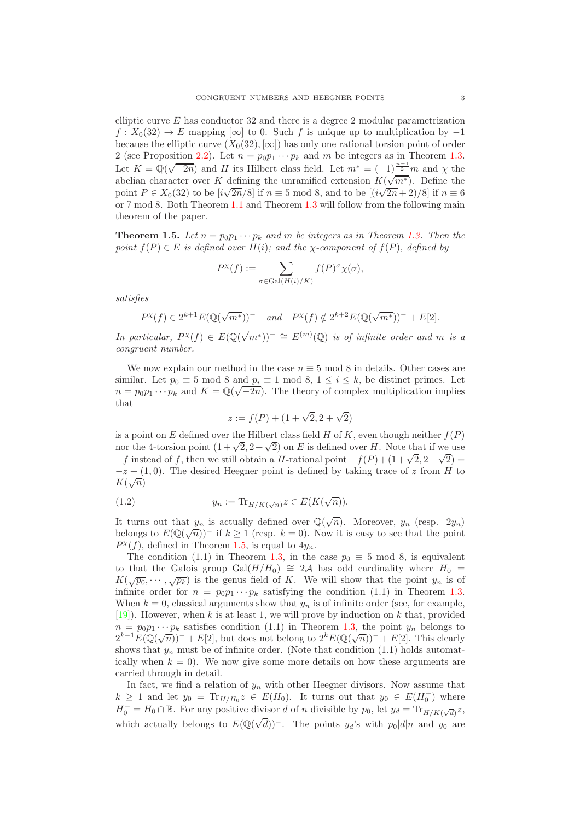elliptic curve  $E$  has conductor 32 and there is a degree 2 modular parametrization  $f: X_0(32) \to E$  mapping [∞] to 0. Such f is unique up to multiplication by -1 because the elliptic curve  $(X_0(32), [\infty])$  has only one rational torsion point of order 2 (see Proposition [2.2\)](#page-6-0). Let  $n = p_0p_1 \cdots p_k$  and m be integers as in Theorem [1.3.](#page-1-0) Let  $K = \mathbb{Q}(\sqrt{-2n})$  and H its Hilbert class field. Let  $m^* = (-1)^{\frac{n-1}{2}}m$  and  $\chi$  the abelian character over K defining the unramified extension  $K(\sqrt{m^*})$ . Define the point  $P \in X_0(32)$  to be  $[i\sqrt{2n}/8]$  if  $n \equiv 5 \mod 8$ , and to be  $[(i\sqrt{2n}+2)/8]$  if  $n \equiv 6$ or 7 mod 8. Both Theorem [1.1](#page-0-1) and Theorem [1.3](#page-1-0) will follow from the following main theorem of the paper.

<span id="page-2-0"></span>**Theorem 1.5.** Let  $n = p_0 p_1 \cdots p_k$  and m be integers as in Theorem [1.3.](#page-1-0) Then the *point*  $f(P) \in E$  *is defined over*  $H(i)$ *; and the χ*-component of  $f(P)$ *, defined by* 

$$
P^{\chi}(f) := \sum_{\sigma \in \text{Gal}(H(i)/K)} f(P)^{\sigma} \chi(\sigma),
$$

*satisfies*

$$
P^{\chi}(f) \in 2^{k+1} E(\mathbb{Q}(\sqrt{m^*}))^- \quad and \quad P^{\chi}(f) \notin 2^{k+2} E(\mathbb{Q}(\sqrt{m^*}))^- + E[2].
$$

*In particular,*  $P^{\chi}(f) \in E(\mathbb{Q}(\sqrt{m^*}))^{-} \cong E^{(m)}(\mathbb{Q})$  *is of infinite order and m is a congruent number.*

We now explain our method in the case  $n \equiv 5 \mod 8$  in details. Other cases are similar. Let  $p_0 \equiv 5 \mod 8$  and  $p_i \equiv 1 \mod 8$ ,  $1 \leq i \leq k$ , be distinct primes. Let  $n = p_0 p_1 \cdots p_k$  and  $K = \mathbb{Q}(\sqrt{-2n})$ . The theory of complex multiplication implies that

$$
z := f(P) + (1 + \sqrt{2}, 2 + \sqrt{2})
$$

is a point on E defined over the Hilbert class field H of K, even though neither  $f(P)$ nor the 4-torsion point  $(1 + \sqrt{2}, 2 + \sqrt{2})$  on E is defined over H. Note that if we use  $-f$  instead of f, then we still obtain a H-rational point  $-f(P) + (1 + \sqrt{2}, 2 + \sqrt{2}) =$  $-z + (1,0)$ . The desired Heegner point is defined by taking trace of z from H to  $K(\sqrt{n})$ 

(1.2) 
$$
y_n := \text{Tr}_{H/K(\sqrt{n})} z \in E(K(\sqrt{n})).
$$

It turns out that  $y_n$  is actually defined over  $\mathbb{Q}(\sqrt{n})$ . Moreover,  $y_n$  (resp.  $2y_n$ ) belongs to  $E(\mathbb{Q}(\sqrt{n}))^-$  if  $k \ge 1$  (resp.  $k = 0$ ). Now it is easy to see that the point  $P^{\chi}(f)$ , defined in Theorem [1.5,](#page-2-0) is equal to  $4y_n$ .

The condition (1.1) in Theorem [1.3,](#page-1-0) in the case  $p_0 \equiv 5 \mod 8$ , is equivalent to that the Galois group Gal( $H/H_0$ ) ≅ 2A has odd cardinality where  $H_0$  =  $K(\sqrt{p_0},\cdots,\sqrt{p_k})$  is the genus field of K. We will show that the point  $y_n$  is of infinite order for  $n = p_0 p_1 \cdots p_k$  satisfying the condition (1.1) in Theorem [1.3.](#page-1-0) When  $k = 0$ , classical arguments show that  $y_n$  is of infinite order (see, for example,  $[19]$ . However, when k is at least 1, we will prove by induction on k that, provided  $n = p_0 p_1 \cdots p_k$  satisfies condition (1.1) in Theorem [1.3,](#page-1-0) the point  $y_n$  belongs to  $2^{k-1}E(\mathbb{Q}(\sqrt{n}))^- + E[2]$ , but does not belong to  $2^k E(\mathbb{Q}(\sqrt{n}))^- + E[2]$ . This clearly shows that  $y_n$  must be of infinite order. (Note that condition (1.1) holds automatically when  $k = 0$ . We now give some more details on how these arguments are carried through in detail.

In fact, we find a relation of  $y_n$  with other Heegner divisors. Now assume that  $k \geq 1$  and let  $y_0 = \text{Tr}_{H/H_0} z \in E(H_0)$ . It turns out that  $y_0 \in E(H_0^+)$  where  $H_0^+ = H_0 \cap \mathbb{R}$ . For any positive divisor d of n divisible by  $p_0$ , let  $y_d = \text{Tr}_{H/K(\sqrt{d})} z$ , which actually belongs to  $E(\mathbb{Q}(\sqrt{d}))$ <sup>-</sup>. The points  $y_d$ 's with  $p_0|d|n$  and  $y_0$  are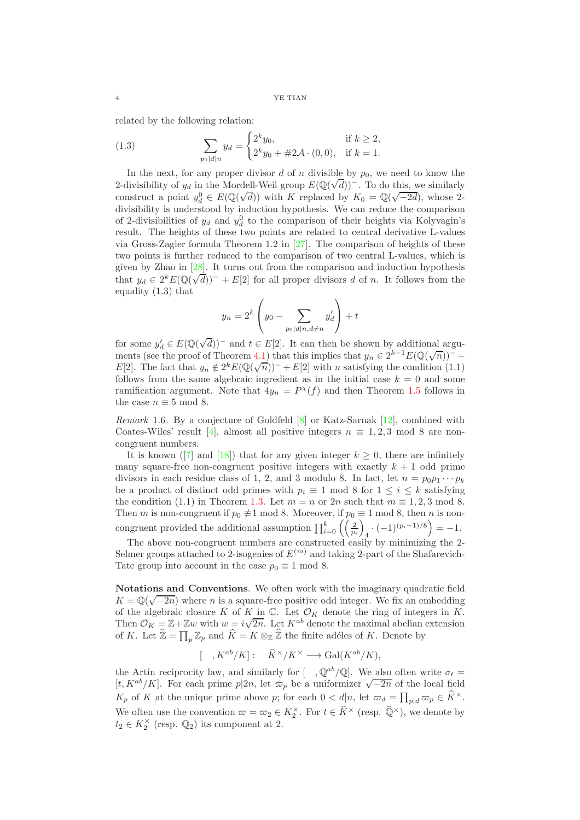related by the following relation:

(1.3) 
$$
\sum_{p_0|d|n} y_d = \begin{cases} 2^k y_0, & \text{if } k \ge 2, \\ 2^k y_0 + \# 2\mathcal{A} \cdot (0,0), & \text{if } k = 1. \end{cases}
$$

In the next, for any proper divisor  $d$  of  $n$  divisible by  $p_0$ , we need to know the 2-divisibility of  $y_d$  in the Mordell-Weil group  $E(\mathbb{Q}(\sqrt{d}))^-$ . To do this, we similarly construct a point  $y_d^0 \in E(\mathbb{Q}(\sqrt{d}))$  with K replaced by  $K_0 = \mathbb{Q}(\sqrt{-2d})$ , whose 2divisibility is understood by induction hypothesis. We can reduce the comparison of 2-divisibilities of  $y_d$  and  $y_d^0$  to the comparison of their heights via Kolyvagin's result. The heights of these two points are related to central derivative L-values via Gross-Zagier formula Theorem 1.2 in [\[27\]](#page-29-6). The comparison of heights of these two points is further reduced to the comparison of two central L-values, which is given by Zhao in [\[28\]](#page-29-7). It turns out from the comparison and induction hypothesis that  $y_d \in 2^k E(\mathbb{Q}(\sqrt{d}))^- + E[2]$  for all proper divisors d of n. It follows from the equality (1.3) that

$$
y_n = 2^k \left( y_0 - \sum_{p_0 | d|n, d \neq n} y'_d \right) + t
$$

for some  $y'_d \in E(\mathbb{Q}(\sqrt{d}))^-$  and  $t \in E[2]$ . It can then be shown by additional argu-ments (see the proof of Theorem [4.1\)](#page-18-2) that this implies that  $y_n \in 2^{k-1} E(\mathbb{Q}(\sqrt{n}))^-$  + E[2]. The fact that  $y_n \notin 2^k E(\mathbb{Q}(\sqrt{n}))^- + E[2]$  with n satisfying the condition (1.1) follows from the same algebraic ingredient as in the initial case  $k = 0$  and some ramification argument. Note that  $4y_n = P^{\chi}(f)$  and then Theorem [1.5](#page-2-0) follows in the case  $n \equiv 5 \mod 8$ .

*Remark* 1.6*.* By a conjecture of Goldfeld [\[8\]](#page-29-8) or Katz-Sarnak [\[12\]](#page-29-9), combined with Coates-Wiles' result [\[4\]](#page-28-3), almost all positive integers  $n \equiv 1, 2, 3 \mod 8$  are noncongruent numbers.

Itis known ([\[7\]](#page-29-10) and [\[18\]](#page-29-11)) that for any given integer  $k \geq 0$ , there are infinitely many square-free non-congruent positive integers with exactly  $k + 1$  odd prime divisors in each residue class of 1, 2, and 3 modulo 8. In fact, let  $n = p_0 p_1 \cdots p_k$ be a product of distinct odd primes with  $p_i \equiv 1 \mod 8$  for  $1 \le i \le k$  satisfying the condition (1.1) in Theorem [1.3.](#page-1-0) Let  $m = n$  or  $2n$  such that  $m \equiv 1, 2, 3 \mod 8$ . Then m is non-congruent if  $p_0 \neq 1 \mod 8$ . Moreover, if  $p_0 \equiv 1 \mod 8$ , then n is noncongruent provided the additional assumption  $\prod_{i=0}^{k} \left( \frac{2}{p_i} \right)$  $\setminus$  $\cdot$   $(-1)^{(p_i-1)/8}$  = -1.

The above non-congruent numbers are constructed easily by minimizing the 2- Selmer groups attached to 2-isogenies of  $E^{(m)}$  and taking 2-part of the Shafarevich-Tate group into account in the case  $p_0 \equiv 1 \mod 8$ .

Notations and Conventions. We often work with the imaginary quadratic field  $K = \mathbb{Q}(\sqrt{-2n})$  where *n* is a square-free positive odd integer. We fix an embedding of the algebraic closure  $\bar{K}$  of  $K$  in  $\mathbb{C}$ . Let  $\mathcal{O}_K$  denote the ring of integers in K. Then  $\mathcal{O}_K = \mathbb{Z} + \mathbb{Z}w$  with  $w = i\sqrt{2n}$ . Let  $K^{ab}$  denote the maximal abelian extension of K. Let  $\widehat{\mathbb{Z}} = \prod_p \mathbb{Z}_p$  and  $\widehat{K} = K \otimes_{\mathbb{Z}} \widehat{\mathbb{Z}}$  the finite adéles of K. Denote by

$$
[ , K^{ab}/K] : \quad \widehat{K}^{\times}/K^{\times} \longrightarrow \text{Gal}(K^{ab}/K),
$$

the Artin reciprocity law, and similarly for  $[ , \mathbb{Q}^{ab}/\mathbb{Q}].$  We also often write  $\sigma_t =$  $[t, K^{ab}/K]$ . For each prime  $p|2n$ , let  $\varpi_p$  be a uniformizer  $\sqrt{-2n}$  of the local field  $K_p$  of K at the unique prime above p; for each  $0 < d|n$ , let  $\varpi_d = \prod_{p|d} \varpi_p \in \widehat{K}^{\times}$ . We often use the convention  $\varpi = \varpi_2 \in K_2^{\times}$ . For  $t \in K^{\times}$  (resp.  $\mathbb{Q}^{\times}$ ), we denote by  $t_2 \in K_2^{\times}$  (resp.  $\mathbb{Q}_2$ ) its component at 2.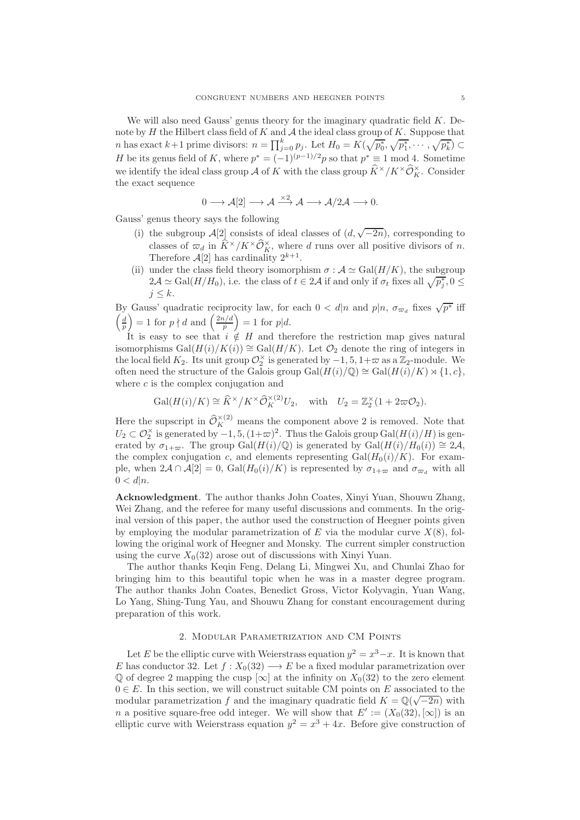We will also need Gauss' genus theory for the imaginary quadratic field  $K$ . Denote by  $H$  the Hilbert class field of  $K$  and  $A$  the ideal class group of  $K$ . Suppose that *n* has exact  $k+1$  prime divisors:  $n = \prod_{j=0}^{k} p_j$ . Let  $H_0 = K(\sqrt{p_0^*}, \sqrt{p_1^*}, \dots, \sqrt{p_k^*}) \subset$ H be its genus field of K, where  $p^* = (-1)^{(p-1)/2}p$  so that  $p^* \equiv 1 \mod 4$ . Sometime we identify the ideal class group  $\mathcal A$  of K with the class group  $K^\times/K^\times\mathcal O_K^\times$ . Consider the exact sequence

$$
0 \longrightarrow \mathcal{A}[2] \longrightarrow \mathcal{A} \xrightarrow{\times 2} \mathcal{A} \longrightarrow \mathcal{A}/2\mathcal{A} \longrightarrow 0.
$$

Gauss' genus theory says the following

- (i) the subgroup  $\mathcal{A}[2]$  consists of ideal classes of  $(d, \sqrt{-2n})$ , corresponding to classes of  $\varpi_d$  in  $K^\times/K^\times\mathcal{O}_K^\times$ , where d runs over all positive divisors of n. Therefore  $\mathcal{A}[2]$  has cardinality  $2^{k+1}$ .
- (ii) under the class field theory isomorphism  $\sigma : A \simeq Gal(H/K)$ , the subgroup  $2\mathcal{A} \simeq \text{Gal}(H/H_0)$ , i.e. the class of  $t \in 2\mathcal{A}$  if and only if  $\sigma_t$  fixes all  $\sqrt{p_j^*}$ ,  $0 \leq$  $j \leq k$ .

By Gauss' quadratic reciprocity law, for each  $0 < d|n$  and  $p|n$ ,  $\sigma_{\varpi_d}$  fixes  $\sqrt{p^*}$  iff  $\left(\frac{d}{p}\right)$ ) = 1 for  $p \nmid d$  and  $\left(\frac{2n/d}{n}\right)$ p  $= 1$  for  $p|d$ .

It is easy to see that  $i \notin H$  and therefore the restriction map gives natural isomorphisms Gal $(H(i)/K(i)) \cong Gal(H/K)$ . Let  $\mathcal{O}_2$  denote the ring of integers in the local field  $K_2$ . Its unit group  $\mathcal{O}_2^{\times}$  is generated by  $-1, 5, 1+\varpi$  as a  $\mathbb{Z}_2$ -module. We often need the structure of the Galois group Gal $(H(i)/\mathbb{Q}) \cong$  Gal $(H(i)/K) \rtimes \{1, c\},$ where  $c$  is the complex conjugation and

$$
\operatorname{Gal}(H(i)/K) \cong \widehat{K}^{\times}/K^{\times} \widehat{\mathcal{O}}_K^{\times (2)} U_2, \quad \text{with} \quad U_2 = \mathbb{Z}_2^{\times} (1 + 2\varpi \mathcal{O}_2).
$$

Here the supscript in  $\widehat{\mathcal{O}}_K^{\times(2)}$  means the component above 2 is removed. Note that  $U_2 \subset \mathcal{O}_2^{\times}$  is generated by  $-1, 5, (1+\varpi)^2$ . Thus the Galois group  $Gal(H(i)/H)$  is generated by  $\sigma_{1+\varpi}$ . The group Gal( $H(i)/\mathbb{Q}$ ) is generated by Gal( $H(i)/H_0(i)$ ) ≅ 2A, the complex conjugation c, and elements representing  $Gal(H_0(i)/K)$ . For example, when  $2\mathcal{A} \cap \mathcal{A}[2] = 0$ ,  $Gal(H_0(i)/K)$  is represented by  $\sigma_{1+\varpi}$  and  $\sigma_{\varpi_d}$  with all  $0 < d|n$ .

Acknowledgment. The author thanks John Coates, Xinyi Yuan, Shouwu Zhang, Wei Zhang, and the referee for many useful discussions and comments. In the original version of this paper, the author used the construction of Heegner points given by employing the modular parametrization of E via the modular curve  $X(8)$ , following the original work of Heegner and Monsky. The current simpler construction using the curve  $X_0(32)$  arose out of discussions with Xinyi Yuan.

The author thanks Keqin Feng, Delang Li, Mingwei Xu, and Chunlai Zhao for bringing him to this beautiful topic when he was in a master degree program. The author thanks John Coates, Benedict Gross, Victor Kolyvagin, Yuan Wang, Lo Yang, Shing-Tung Yau, and Shouwu Zhang for constant encouragement during preparation of this work.

# 2. Modular Parametrization and CM Points

<span id="page-4-0"></span>Let E be the elliptic curve with Weierstrass equation  $y^2 = x^3 - x$ . It is known that E has conductor 32. Let  $f: X_0(32) \longrightarrow E$  be a fixed modular parametrization over  $\mathbb{Q}$  of degree 2 mapping the cusp  $[\infty]$  at the infinity on  $X_0(32)$  to the zero element  $0 \in E$ . In this section, we will construct suitable CM points on E associated to the modular parametrization f and the imaginary quadratic field  $K = \mathbb{Q}(\sqrt{-2n})$  with n a positive square-free odd integer. We will show that  $E' := (X_0(32), [\infty])$  is an elliptic curve with Weierstrass equation  $y^2 = x^3 + 4x$ . Before give construction of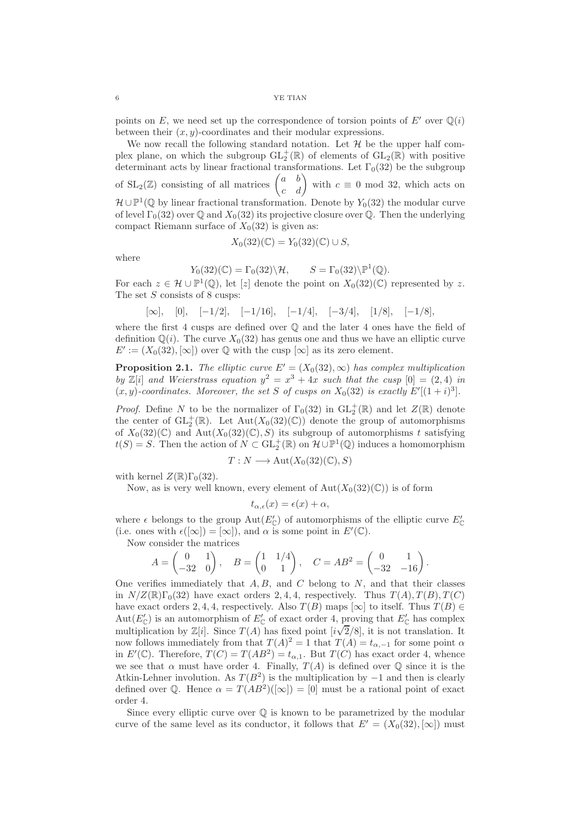points on E, we need set up the correspondence of torsion points of E' over  $\mathbb{Q}(i)$ between their  $(x, y)$ -coordinates and their modular expressions.

We now recall the following standard notation. Let  $H$  be the upper half complex plane, on which the subgroup  $GL_2^+(\mathbb{R})$  of elements of  $GL_2(\mathbb{R})$  with positive determinant acts by linear fractional transformations. Let  $\Gamma_0(32)$  be the subgroup of  $\text{SL}_2(\mathbb{Z})$  consisting of all matrices  $\begin{pmatrix} a & b \\ c & d \end{pmatrix}$  with  $c \equiv 0 \mod 32$ , which acts on  $\mathcal{H} \cup \mathbb{P}^1(\mathbb{Q})$  by linear fractional transformation. Denote by  $Y_0(32)$  the modular curve of level  $\Gamma_0(32)$  over  $\mathbb Q$  and  $X_0(32)$  its projective closure over  $\mathbb Q$ . Then the underlying compact Riemann surface of  $X_0(32)$  is given as:

$$
X_0(32)(\mathbb{C})=Y_0(32)(\mathbb{C})\cup S,
$$

where

$$
Y_0(32)(\mathbb{C}) = \Gamma_0(32)\backslash \mathcal{H}, \qquad S = \Gamma_0(32)\backslash \mathbb{P}^1(\mathbb{Q}).
$$

For each  $z \in \mathcal{H} \cup \mathbb{P}^1(\mathbb{Q})$ , let  $[z]$  denote the point on  $X_0(32)(\mathbb{C})$  represented by z. The set  $S$  consists of 8 cusps:

$$
[\infty]
$$
,  $[0]$ ,  $[-1/2]$ ,  $[-1/16]$ ,  $[-1/4]$ ,  $[-3/4]$ ,  $[1/8]$ ,  $[-1/8]$ ,

where the first 4 cusps are defined over  $\mathbb Q$  and the later 4 ones have the field of definition  $\mathbb{Q}(i)$ . The curve  $X_0(32)$  has genus one and thus we have an elliptic curve  $E' := (X_0(32), [\infty])$  over  $\mathbb Q$  with the cusp  $[\infty]$  as its zero element.

<span id="page-5-0"></span>**Proposition 2.1.** *The elliptic curve*  $E' = (X_0(32), \infty)$  *has complex multiplication by*  $\mathbb{Z}[i]$  *and Weierstrass equation*  $y^2 = x^3 + 4x$  *such that the cusp*  $[0] = (2, 4)$  *in*  $(x, y)$ -coordinates. Moreover, the set S of cusps on  $X_0(32)$  is exactly  $E'[(1 + i)^3]$ .

*Proof.* Define N to be the normalizer of  $\Gamma_0(32)$  in  $\text{GL}_2^+(\mathbb{R})$  and let  $Z(\mathbb{R})$  denote the center of  $\text{GL}_2^+(\mathbb{R})$ . Let  $\text{Aut}(X_0(32)(\mathbb{C}))$  denote the group of automorphisms of  $X_0(32)(\mathbb{C})$  and  $Aut(X_0(32)(\mathbb{C}), S)$  its subgroup of automorphisms t satisfying  $t(S) = S$ . Then the action of  $N \subset GL_2^+(\mathbb{R})$  on  $\mathcal{H} \cup \mathbb{P}^1(\mathbb{Q})$  induces a homomorphism

$$
T: N \longrightarrow \operatorname{Aut}(X_0(32)(\mathbb{C}), S)
$$

with kernel  $Z(\mathbb{R})\Gamma_0(32)$ .

Now, as is very well known, every element of  $Aut(X_0(32)(\mathbb{C}))$  is of form

$$
t_{\alpha,\epsilon}(x) = \epsilon(x) + \alpha,
$$

where  $\epsilon$  belongs to the group  $\text{Aut}(E'_{\mathbb{C}})$  of automorphisms of the elliptic curve  $E'_{\mathbb{C}}$ (i.e. ones with  $\epsilon([\infty]) = [\infty]$ ), and  $\alpha$  is some point in  $E'(\mathbb{C})$ .

Now consider the matrices

$$
A = \begin{pmatrix} 0 & 1 \\ -32 & 0 \end{pmatrix}, \quad B = \begin{pmatrix} 1 & 1/4 \\ 0 & 1 \end{pmatrix}, \quad C = AB^2 = \begin{pmatrix} 0 & 1 \\ -32 & -16 \end{pmatrix}.
$$

One verifies immediately that  $A, B$ , and  $C$  belong to  $N$ , and that their classes in  $N/Z(\mathbb{R})\Gamma_0(32)$  have exact orders 2, 4, 4, respectively. Thus  $T(A), T(B), T(C)$ have exact orders 2, 4, 4, respectively. Also  $T(B)$  maps  $[\infty]$  to itself. Thus  $T(B) \in$ Aut $(E'_{\mathbb{C}})$  is an automorphism of  $E'_{\mathbb{C}}$  of exact order 4, proving that  $E'_{\mathbb{C}}$  has complex multiplication by  $\mathbb{Z}[i]$ . Since  $T(A)$  has fixed point  $[i\sqrt{2}/8]$ , it is not translation. It now follows immediately from that  $T(A)^2 = 1$  that  $T(A) = t_{\alpha,-1}$  for some point  $\alpha$ in  $E'(\mathbb{C})$ . Therefore,  $T(C) = T(AB^2) = t_{\alpha,1}$ . But  $T(C)$  has exact order 4, whence we see that  $\alpha$  must have order 4. Finally,  $T(A)$  is defined over  $\mathbb Q$  since it is the Atkin-Lehner involution. As  $T(B^2)$  is the multiplication by  $-1$  and then is clearly defined over Q. Hence  $\alpha = T(AB^2)([\infty]) = [0]$  must be a rational point of exact order 4.

Since every elliptic curve over  $\mathbb Q$  is known to be parametrized by the modular curve of the same level as its conductor, it follows that  $E' = (X_0(32), [\infty])$  must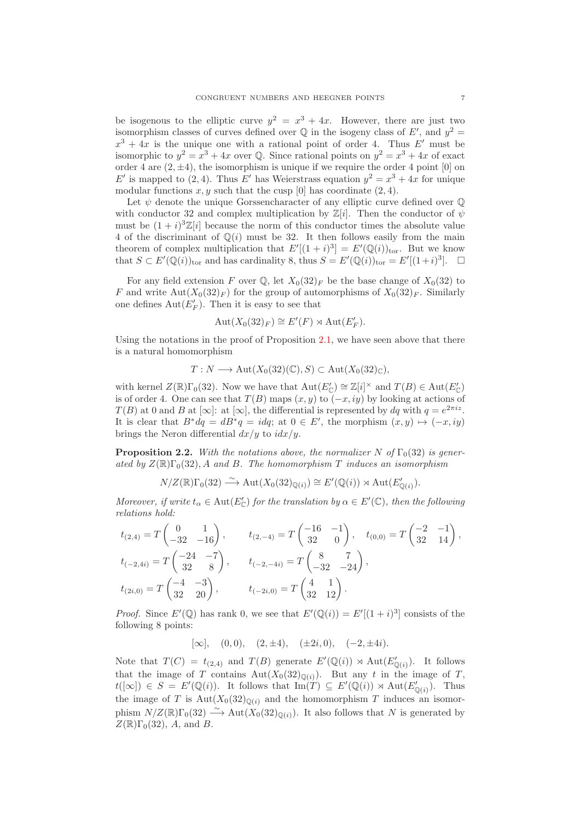be isogenous to the elliptic curve  $y^2 = x^3 + 4x$ . However, there are just two isomorphism classes of curves defined over  $\mathbb Q$  in the isogeny class of  $E'$ , and  $y^2 =$  $x^3 + 4x$  is the unique one with a rational point of order 4. Thus E' must be isomorphic to  $y^2 = x^3 + 4x$  over Q. Since rational points on  $y^2 = x^3 + 4x$  of exact order 4 are  $(2, \pm 4)$ , the isomorphism is unique if we require the order 4 point [0] on E' is mapped to  $(2, 4)$ . Thus E' has Weierstrass equation  $y^2 = x^3 + 4x$  for unique modular functions  $x, y$  such that the cusp [0] has coordinate (2, 4).

Let  $\psi$  denote the unique Gorssencharacter of any elliptic curve defined over  $\mathbb O$ with conductor 32 and complex multiplication by  $\mathbb{Z}[i]$ . Then the conductor of  $\psi$ must be  $(1 + i)^3 \mathbb{Z}[i]$  because the norm of this conductor times the absolute value 4 of the discriminant of  $\mathbb{Q}(i)$  must be 32. It then follows easily from the main theorem of complex multiplication that  $E'[(1+i)^3] = E'(\mathbb{Q}(i))_{\text{tor}}$ . But we know that  $S \subset E'(\mathbb{Q}(i))_{\text{tor}}$  and has cardinality 8, thus  $S = E'(\mathbb{Q}(i))_{\text{tor}} = E'[(1+i)^3]$ .  $\Box$ 

For any field extension F over Q, let  $X_0(32)_F$  be the base change of  $X_0(32)$  to F and write  $\text{Aut}(X_0(32)_F)$  for the group of automorphisms of  $X_0(32)_F$ . Similarly one defines  $Aut(E'_F)$ . Then it is easy to see that

$$
Aut(X_0(32)_F) \cong E'(F) \rtimes Aut(E'_F).
$$

Using the notations in the proof of Proposition [2.1,](#page-5-0) we have seen above that there is a natural homomorphism

 $T: N \longrightarrow \text{Aut}(X_0(32)(\mathbb{C}), S) \subset \text{Aut}(X_0(32)\mathbb{C}),$ 

with kernel  $Z(\mathbb{R})\Gamma_0(32)$ . Now we have that  $\text{Aut}(E'_{\mathbb{C}}) \cong \mathbb{Z}[i]^{\times}$  and  $T(B) \in \text{Aut}(E'_{\mathbb{C}})$ is of order 4. One can see that  $T(B)$  maps  $(x, y)$  to  $(-x, iy)$  by looking at actions of  $T(B)$  at 0 and B at  $[\infty]$ : at  $[\infty]$ , the differential is represented by dq with  $q = e^{2\pi i z}$ . It is clear that  $B^*dq = dB^*q = idq$ ; at  $0 \in E'$ , the morphism  $(x, y) \mapsto (-x, iy)$ brings the Neron differential  $dx/y$  to  $idx/y$ .

<span id="page-6-0"></span>**Proposition 2.2.** *With the notations above, the normalizer* N of  $\Gamma_0(32)$  *is gener*ated by  $Z(\mathbb{R})\Gamma_0(32)$ , A and B. The homomorphism T *induces an isomorphism* 

$$
N/Z(\mathbb{R})\Gamma_0(32) \stackrel{\sim}{\longrightarrow} \text{Aut}(X_0(32)_{\mathbb{Q}(i)}) \cong E'(\mathbb{Q}(i)) \rtimes \text{Aut}(E'_{\mathbb{Q}(i)}).
$$

*Moreover, if write*  $t_{\alpha} \in \text{Aut}(E'_{\mathbb{C}})$  *for the translation by*  $\alpha \in E'(\mathbb{C})$ *, then the following relations hold:*

$$
t_{(2,4)} = T \begin{pmatrix} 0 & 1 \\ -32 & -16 \end{pmatrix}, \t t_{(2,-4)} = T \begin{pmatrix} -16 & -1 \\ 32 & 0 \end{pmatrix}, \t t_{(0,0)} = T \begin{pmatrix} -2 & -1 \\ 32 & 14 \end{pmatrix},
$$
  
\n
$$
t_{(-2,4i)} = T \begin{pmatrix} -24 & -7 \\ 32 & 8 \end{pmatrix}, \t t_{(-2,-4i)} = T \begin{pmatrix} 8 & 7 \\ -32 & -24 \end{pmatrix},
$$
  
\n
$$
t_{(2i,0)} = T \begin{pmatrix} -4 & -3 \\ 32 & 20 \end{pmatrix}, \t t_{(-2i,0)} = T \begin{pmatrix} 4 & 1 \\ 32 & 12 \end{pmatrix}.
$$

*Proof.* Since  $E'(\mathbb{Q})$  has rank 0, we see that  $E'(\mathbb{Q}(i)) = E'[(1+i)^3]$  consists of the following 8 points:

 $[\infty]$ ,  $(0, 0)$ ,  $(2, \pm 4)$ ,  $(\pm 2i, 0)$ ,  $(-2, \pm 4i)$ .

Note that  $T(C) = t_{(2,4)}$  and  $T(B)$  generate  $E'(\mathbb{Q}(i)) \rtimes \text{Aut}(E'_{\mathbb{Q}(i)})$ . It follows that the image of T contains  $Aut(X_0(32)_{\mathbb{Q}(i)})$ . But any t in the image of T,  $t([\infty]) \in S = E'(\mathbb{Q}(i))$ . It follows that  $\text{Im}(T) \subseteq E'(\mathbb{Q}(i)) \rtimes \text{Aut}(E'_{\mathbb{Q}(i)})$ . Thus the image of T is  $Aut(X_0(32)_{\mathbb{O}(i)}$  and the homomorphism T induces an isomorphism  $N/Z(\mathbb{R})\Gamma_0(32) \stackrel{\sim}{\longrightarrow} \text{Aut}(X_0(32)_{\mathbb{O}(i)})$ . It also follows that N is generated by  $Z(\mathbb{R})\Gamma_0(32)$ , A, and B.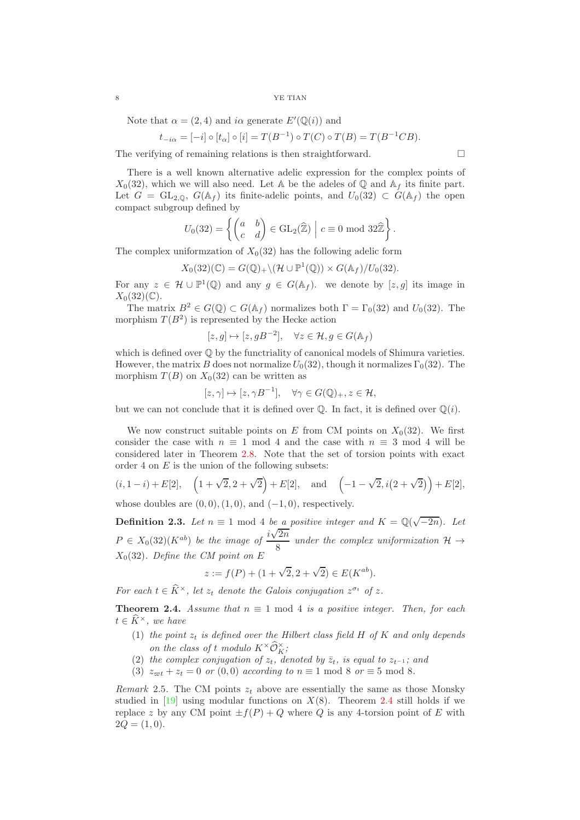Note that  $\alpha = (2, 4)$  and  $i\alpha$  generate  $E'(\mathbb{Q}(i))$  and

$$
t_{-i\alpha} = [-i] \circ [t_{\alpha}] \circ [i] = T(B^{-1}) \circ T(C) \circ T(B) = T(B^{-1}CB).
$$

The verifying of remaining relations is then straightforward.  $\Box$ 

There is a well known alternative adelic expression for the complex points of  $X_0(32)$ , which we will also need. Let A be the adeles of Q and A<sub>f</sub> its finite part. Let  $G = GL_{2,0}$ ,  $G(\mathbb{A}_f)$  its finite-adelic points, and  $U_0(32) \subset G(\mathbb{A}_f)$  the open compact subgroup defined by

$$
U_0(32) = \left\{ \begin{pmatrix} a & b \\ c & d \end{pmatrix} \in \text{GL}_2(\widehat{\mathbb{Z}}) \middle| c \equiv 0 \mod 32\widehat{\mathbb{Z}} \right\}.
$$

The complex uniformzation of  $X_0(32)$  has the following adelic form

$$
X_0(32)(\mathbb{C}) = G(\mathbb{Q})_+\backslash (\mathcal{H} \cup \mathbb{P}^1(\mathbb{Q})) \times G(\mathbb{A}_f)/U_0(32).
$$

For any  $z \in \mathcal{H} \cup \mathbb{P}^1(\mathbb{Q})$  and any  $g \in G(\mathbb{A}_f)$ . we denote by  $[z, g]$  its image in  $X_0(32)(\mathbb{C})$ .

The matrix  $B^2 \in G(\mathbb{Q}) \subset G(\mathbb{A}_f)$  normalizes both  $\Gamma = \Gamma_0(32)$  and  $U_0(32)$ . The morphism  $T(B^2)$  is represented by the Hecke action

$$
[z,g] \mapsto [z,gB^{-2}], \quad \forall z \in \mathcal{H}, g \in G(\mathbb{A}_f)
$$

which is defined over  $\mathbb Q$  by the functriality of canonical models of Shimura varieties. However, the matrix B does not normalize  $U_0(32)$ , though it normalizes  $\Gamma_0(32)$ . The morphism  $T(B)$  on  $X_0(32)$  can be written as

$$
[z,\gamma] \mapsto [z,\gamma B^{-1}], \quad \forall \gamma \in G(\mathbb{Q})_+, z \in \mathcal{H},
$$

but we can not conclude that it is defined over  $\mathbb{Q}$ . In fact, it is defined over  $\mathbb{Q}(i)$ .

We now construct suitable points on E from CM points on  $X_0(32)$ . We first consider the case with  $n \equiv 1 \mod 4$  and the case with  $n \equiv 3 \mod 4$  will be considered later in Theorem [2.8.](#page-10-0) Note that the set of torsion points with exact order 4 on  $E$  is the union of the following subsets:

$$
(i, 1-i) + E[2]
$$
,  $(1 + \sqrt{2}, 2 + \sqrt{2}) + E[2]$ , and  $(-1 - \sqrt{2}, i(2 + \sqrt{2})) + E[2]$ ,

whose doubles are  $(0, 0)$ ,  $(1, 0)$ , and  $(-1, 0)$ , respectively.

**Definition 2.3.** Let  $n \equiv 1 \mod 4$  be a positive integer and  $K = \mathbb{Q}(\sqrt{-2n})$ . Let  $P \in X_0(32)(K^{ab})$  be the image of  $\frac{i\sqrt{2n}}{8}$  $\frac{2\pi}{8}$  under the complex uniformization  $\mathcal{H} \rightarrow$  $X_0(32)$ *. Define the CM point on E* 

$$
z := f(P) + (1 + \sqrt{2}, 2 + \sqrt{2}) \in E(K^{ab}).
$$

*For each*  $t \in \hat{K}^{\times}$ , let  $z_t$  *denote the Galois conjugation*  $z^{\sigma_t}$  *of*  $z$ *.* 

<span id="page-7-0"></span>**Theorem 2.4.** *Assume that*  $n \equiv 1 \mod 4$  *is a positive integer. Then, for each*  $t \in \widehat{K}^{\times}$ *, we have* 

- (1) the point  $z_t$  is defined over the Hilbert class field  $H$  of  $K$  and only depends *on the class of t modulo*  $K^{\times} \mathcal{O}_K^{\times}$ ;
- (2) *the complex conjugation of*  $z_t$ *, denoted by*  $\overline{z}_t$ *, is equal to*  $z_{t-1}$ *; and*
- (3)  $z_{\varpi t} + z_t = 0$  *or* (0,0) *according to*  $n \equiv 1 \mod 8$  *or*  $\equiv 5 \mod 8$ *.*

*Remark* 2.5. The CM points  $z_t$  above are essentially the same as those Monsky studied in [\[19\]](#page-29-2) using modular functions on  $X(8)$ . Theorem [2.4](#page-7-0) still holds if we replace z by any CM point  $\pm f(P) + Q$  where Q is any 4-torsion point of E with  $2Q = (1, 0).$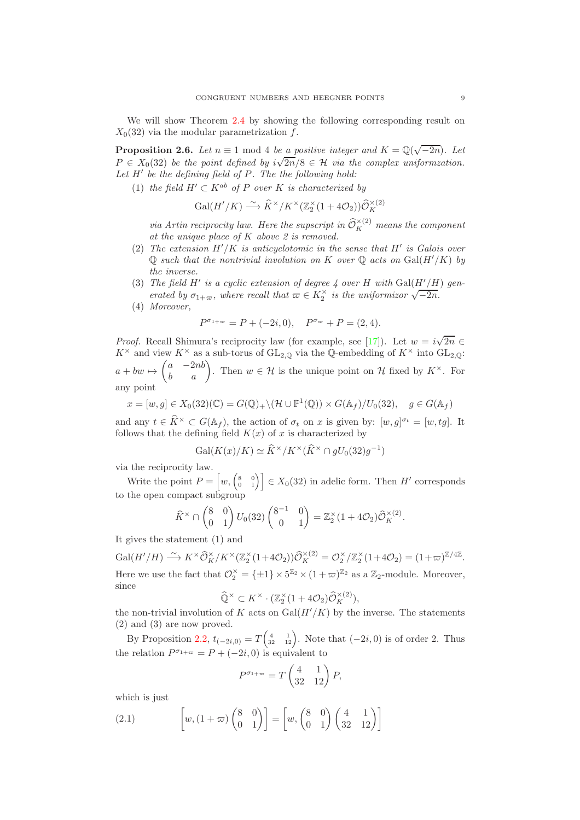We will show Theorem [2.4](#page-7-0) by showing the following corresponding result on  $X_0(32)$  via the modular parametrization f.

**Proposition 2.6.** *Let*  $n \equiv 1 \mod 4$  *be a positive integer and*  $K = \mathbb{Q}(\sqrt{-2n})$ *. Let*  $P \in X_0(32)$  *be the point defined by*  $i\sqrt{2n}/8 \in \mathcal{H}$  *via the complex uniformzation. Let* H′ *be the defining field of* P*. The the following hold:*

(1) *the field*  $H' \subset K^{ab}$  *of* P *over* K *is characterized by* 

$$
\operatorname{Gal}(H'/K) \stackrel{\sim}{\longrightarrow} \widehat{K}^{\times}/K^{\times}(\mathbb{Z}_2^{\times}(1+4\mathcal{O}_2))\widehat{\mathcal{O}}_K^{\times(2)}
$$

*via Artin reciprocity law. Here the supscript in*  $\widehat{\mathcal{O}}_K^{\times(2)}$  *means the component at the unique place of* K *above 2 is removed.*

- (2) *The extension* H′/K *is anticyclotomic in the sense that* H′ *is Galois over*  $\mathbb Q$  *such that the nontrivial involution on* K *over*  $\mathbb Q$  *acts on* Gal( $H'/K$ ) *by the inverse.*
- (3) *The field*  $H'$  *is a cyclic extension of degree 4 over*  $H$  *with*  $Gal(H'/H)$  *generated by*  $\sigma_{1+\infty}$ *, where recall that*  $\omega \in K_2^{\times}$  *is the uniformizor*  $\sqrt{-2n}$ *.*
- (4) *Moreover,*

$$
P^{\sigma_{1+\infty}} = P + (-2i, 0), \quad P^{\sigma_{\infty}} + P = (2, 4).
$$

*Proof.* Recall Shimura's reciprocity law (for example, see [\[17\]](#page-29-12)). Let  $w = i\sqrt{2n} \in$  $K^{\times}$  and view  $K^{\times}$  as a sub-torus of  $GL_{2,\mathbb{Q}}$  via the Q-embedding of  $K^{\times}$  into  $GL_{2,\mathbb{Q}}$ :  $a + bw \mapsto$  $\begin{pmatrix} a & -2nb \\ b & a \end{pmatrix}$ . Then  $w \in \mathcal{H}$  is the unique point on  $\mathcal{H}$  fixed by  $K^{\times}$ . For

any point

$$
x = [w, g] \in X_0(32)(\mathbb{C}) = G(\mathbb{Q})_+ \setminus (\mathcal{H} \cup \mathbb{P}^1(\mathbb{Q})) \times G(\mathbb{A}_f) / U_0(32), \quad g \in G(\mathbb{A}_f)
$$

and any  $t \in \hat{K}^{\times} \subset G(\mathbb{A}_f)$ , the action of  $\sigma_t$  on x is given by:  $[w, g]^{\sigma_t} = [w, tg]$ . It follows that the defining field  $K(x)$  of x is characterized by

$$
\text{Gal}(K(x)/K) \simeq \widehat{K}^{\times}/K^{\times}(\widehat{K}^{\times} \cap gU_0(32)g^{-1})
$$

via the reciprocity law.

Write the point  $P = \begin{bmatrix} w, \begin{pmatrix} 8 & 0 \\ 0 & 1 \end{pmatrix} \end{bmatrix} \in X_0(32)$  in adelic form. Then H' corresponds to the open compact subgroup

$$
\widehat{K}^{\times} \cap \begin{pmatrix} 8 & 0 \\ 0 & 1 \end{pmatrix} U_0(32) \begin{pmatrix} 8^{-1} & 0 \\ 0 & 1 \end{pmatrix} = \mathbb{Z}_2^{\times} (1 + 4\mathcal{O}_2) \widehat{\mathcal{O}}_K^{\times (2)}.
$$

It gives the statement (1) and

 $Gal(H'/H) \longrightarrow K^{\times} \widehat{\mathcal{O}}_{K}^{\times}/K^{\times}(\mathbb{Z}_{2}^{\times}(1+4\mathcal{O}_{2}))\widehat{\mathcal{O}}_{K}^{\times(2)} = \mathcal{O}_{2}^{\times}/\mathbb{Z}_{2}^{\times}(1+4\mathcal{O}_{2}) = (1+\varpi)^{\mathbb{Z}/4\mathbb{Z}}.$ Here we use the fact that  $\mathcal{O}_2^{\times} = {\pm 1} \times 5^{\mathbb{Z}_2} \times (1 + \varpi)^{\mathbb{Z}_2}$  as a  $\mathbb{Z}_2$ -module. Moreover, since

$$
\widehat{\mathbb{Q}}^{\times} \subset K^{\times} \cdot (\mathbb{Z}_2^{\times} (1 + 4\mathcal{O}_2) \widehat{\mathcal{O}}_K^{\times (2)}),
$$

the non-trivial involution of K acts on  $Gal(H'/K)$  by the inverse. The statements (2) and (3) are now proved.

By Proposition [2.2,](#page-6-0)  $t_{(-2i,0)} = T\begin{pmatrix} 4 & 1 \ 32 & 12 \end{pmatrix}$ . Note that  $(-2i,0)$  is of order 2. Thus the relation  $P^{\sigma_{1+\infty}} = P + (-2i, 0)$  is equivalent to

$$
P^{\sigma_{1+\varpi}} = T \begin{pmatrix} 4 & 1 \\ 32 & 12 \end{pmatrix} P,
$$

which is just

(2.1) 
$$
\qquad \qquad \left[w,(1+\varpi)\begin{pmatrix}8&0\\0&1\end{pmatrix}\right] = \left[w,\begin{pmatrix}8&0\\0&1\end{pmatrix}\begin{pmatrix}4&1\\32&12\end{pmatrix}\right]
$$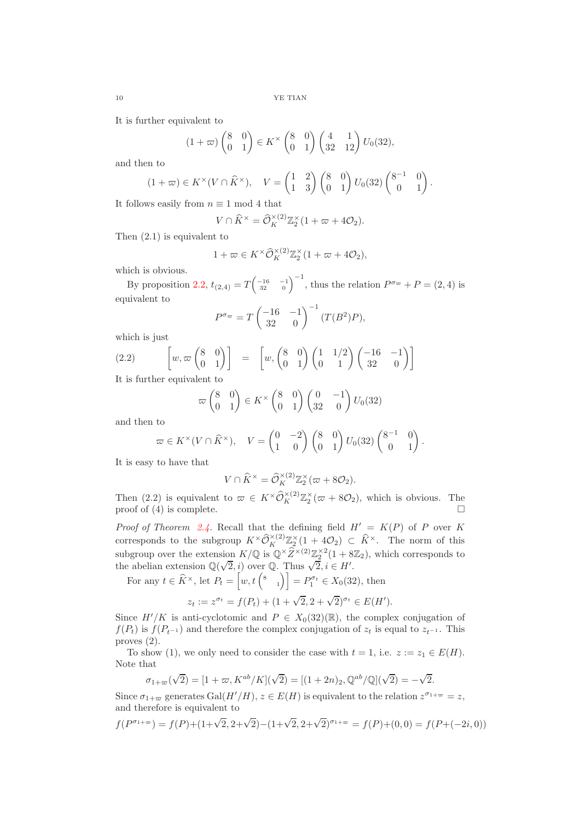It is further equivalent to

$$
(1+\varpi)\begin{pmatrix}8 & 0\\ 0 & 1\end{pmatrix}\in K^{\times}\begin{pmatrix}8 & 0\\ 0 & 1\end{pmatrix}\begin{pmatrix}4 & 1\\ 32 & 12\end{pmatrix}U_0(32),
$$

and then to

$$
(1+\varpi)\in K^{\times}(V\cap \widehat{K}^{\times}), \quad V=\begin{pmatrix}1&2\\1&3\end{pmatrix}\begin{pmatrix}8&0\\0&1\end{pmatrix}U_0(32)\begin{pmatrix}8^{-1}&0\\0&1\end{pmatrix}.
$$

It follows easily from  $n \equiv 1 \mod 4$  that

$$
V \cap \widehat{K}^{\times} = \widehat{\mathcal{O}}_K^{\times (2)} \mathbb{Z}_2^{\times} (1 + \varpi + 4\mathcal{O}_2).
$$

Then (2.1) is equivalent to

$$
1 + \varpi \in K^{\times} \widehat{\mathcal{O}}_K^{\times (2)} \mathbb{Z}_2^{\times} (1 + \varpi + 4\mathcal{O}_2),
$$

which is obvious.

By proposition [2.2,](#page-6-0)  $t_{(2,4)} = T\begin{pmatrix} -16 & -1 \\ 32 & 0 \end{pmatrix}^{-1}$ , thus the relation  $P^{\sigma_{\infty}} + P = (2, 4)$  is equivalent to

$$
P^{\sigma_{\infty}} = T \begin{pmatrix} -16 & -1 \\ 32 & 0 \end{pmatrix}^{-1} (T(B^2)P),
$$

which is just

(2.2) 
$$
\left[w, \varpi\begin{pmatrix}8 & 0\\ 0 & 1\end{pmatrix}\right] = \left[w, \begin{pmatrix}8 & 0\\ 0 & 1\end{pmatrix}\begin{pmatrix}1 & 1/2\\ 0 & 1\end{pmatrix}\begin{pmatrix}-16 & -1\\ 32 & 0\end{pmatrix}\right]
$$

It is further equivalent to

$$
\varpi\begin{pmatrix}8 & 0\\ 0 & 1\end{pmatrix}\in K^{\times}\begin{pmatrix}8 & 0\\ 0 & 1\end{pmatrix}\begin{pmatrix}0 & -1\\ 32 & 0\end{pmatrix}U_0(32)
$$

and then to

$$
\varpi \in K^{\times}(V \cap \widehat{K}^{\times}), \quad V = \begin{pmatrix} 0 & -2 \\ 1 & 0 \end{pmatrix} \begin{pmatrix} 8 & 0 \\ 0 & 1 \end{pmatrix} U_0(32) \begin{pmatrix} 8^{-1} & 0 \\ 0 & 1 \end{pmatrix}.
$$

It is easy to have that

 $\sigma_1$ 

$$
V \cap \widehat{K}^{\times} = \widehat{\mathcal{O}}_K^{\times (2)} \mathbb{Z}_2^{\times} (\varpi + 8\mathcal{O}_2).
$$

Then (2.2) is equivalent to  $\varpi \in K^{\times} \widehat{\mathcal{O}}_K^{\times (2)} \mathbb{Z}_2^{\times} (\varpi + 8\mathcal{O}_2)$ , which is obvious. The proof of  $(4)$  is complete.

*Proof of Theorem [2.4.](#page-7-0)* Recall that the defining field  $H' = K(P)$  of P over K corresponds to the subgroup  $K^{\times}\widehat{\mathcal{O}}_K^{\times(2)}\mathbb{Z}_2^{\times}(1+4\mathcal{O}_2) \subset \widehat{K}^{\times}$ . The norm of this subgroup over the extension  $K/\mathbb{Q}$  is  $\mathbb{Q} \times \widehat{Z}^{\times(2)} \mathbb{Z}_2^{\times 2} (1 + 8\mathbb{Z}_2)$ , which corresponds to the abelian extension  $\mathbb{Q}(\sqrt{2}, i)$  over  $\mathbb{Q}$ . Thus  $\sqrt{2}, i \in H'$ .

For any  $t \in \widehat{K}^{\times}$ , let  $P_t = \begin{bmatrix} w, t \binom{8}{1} \end{bmatrix} = P_1^{\sigma_t} \in X_0(32)$ , then

$$
z_t := z^{\sigma_t} = f(P_t) + (1 + \sqrt{2}, 2 + \sqrt{2})^{\sigma_t} \in E(H').
$$

Since  $H'/K$  is anti-cyclotomic and  $P \in X_0(32)(\mathbb{R})$ , the complex conjugation of  $f(P_t)$  is  $f(P_{t-1})$  and therefore the complex conjugation of  $z_t$  is equal to  $z_{t-1}$ . This proves (2).

To show (1), we only need to consider the case with  $t = 1$ , i.e.  $z := z_1 \in E(H)$ . Note that

$$
+\varpi(\sqrt{2}) = [1 + \varpi, K^{ab}/K](\sqrt{2}) = [(1 + 2n)_2, \mathbb{Q}^{ab}/\mathbb{Q}](\sqrt{2}) = -\sqrt{2}.
$$

Since  $\sigma_{1+\varpi}$  generates Gal $(H'/H)$ ,  $z \in E(H)$  is equivalent to the relation  $z^{\sigma_{1+\varpi}} = z$ , and therefore is equivalent to

$$
f(P^{\sigma_{1+\infty}}) = f(P) + (1+\sqrt{2}, 2+\sqrt{2}) - (1+\sqrt{2}, 2+\sqrt{2})^{\sigma_{1+\infty}} = f(P) + (0, 0) = f(P + (-2i, 0))
$$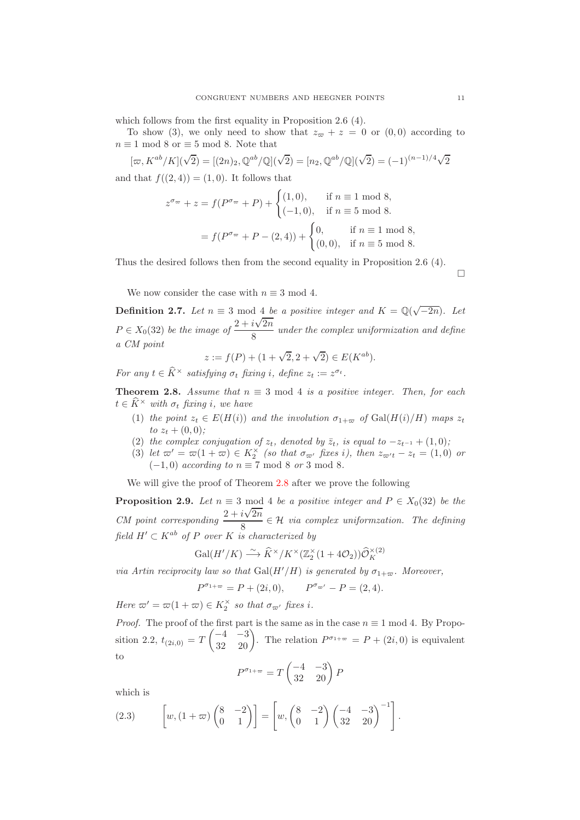which follows from the first equality in Proposition 2.6 (4).

To show (3), we only need to show that  $z_{\varpi} + z = 0$  or (0,0) according to  $n \equiv 1 \mod 8$  or  $\equiv 5 \mod 8$ . Note that

$$
[\varpi, K^{ab}/K](\sqrt{2}) = [(2n)_2, \mathbb{Q}^{ab}/\mathbb{Q}](\sqrt{2}) = [n_2, \mathbb{Q}^{ab}/\mathbb{Q}](\sqrt{2}) = (-1)^{(n-1)/4}\sqrt{2}
$$
  
and that  $f((2, 4)) = (1, 0)$ . It follows that

$$
z^{\sigma_{\varpi}} + z = f(P^{\sigma_{\varpi}} + P) + \begin{cases} (1,0), & \text{if } n \equiv 1 \text{ mod } 8, \\ (-1,0), & \text{if } n \equiv 5 \text{ mod } 8. \end{cases}
$$

$$
= f(P^{\sigma_{\varpi}} + P - (2,4)) + \begin{cases} 0, & \text{if } n \equiv 1 \text{ mod } 8, \\ (0,0), & \text{if } n \equiv 5 \text{ mod } 8. \end{cases}
$$

Thus the desired follows then from the second equality in Proposition 2.6 (4).

 $\Box$ 

We now consider the case with  $n \equiv 3 \mod 4$ .

**Definition 2.7.** *Let*  $n \equiv 3 \mod 4$  *be a positive integer and*  $K = \mathbb{Q}(\sqrt{-2n})$ *. Let*  $P \in X_0(32)$  *be the image of*  $\frac{2 + i\sqrt{2n}}{8}$ 8 *under the complex uniformization and define a CM point*

$$
z := f(P) + (1 + \sqrt{2}, 2 + \sqrt{2}) \in E(K^{ab}).
$$

*For any*  $t \in \hat{K}^{\times}$  *satisfying*  $\sigma_t$  *fixing i*, *define*  $z_t := z^{\sigma_t}$ *.* 

<span id="page-10-0"></span>**Theorem 2.8.** *Assume that*  $n \equiv 3 \mod 4$  *is a positive integer. Then, for each*  $t \in K^{\times}$  *with*  $\sigma_t$  *fixing i*, we have

- (1) *the point*  $z_t \in E(H(i))$  *and the involution*  $\sigma_{1+\varpi}$  *of* Gal( $H(i)/H$ ) *maps*  $z_t$  $to z_t + (0,0);$
- (2) *the complex conjugation of*  $z_t$ *, denoted by*  $\overline{z}_t$ *, is equal to*  $-z_{t-1} + (1,0)$ *;*
- (3) *let*  $\varpi' = \varpi(1 + \varpi) \in K_2^{\times}$  *(so that*  $\sigma_{\varpi'}$  *fixes i), then*  $z_{\varpi' t} z_t = (1, 0)$  *or*  $(-1, 0)$  *according to*  $n \equiv 7 \mod 8$  *or* 3 mod 8*.*

We will give the proof of Theorem [2.8](#page-10-0) after we prove the following

**Proposition 2.9.** *Let*  $n \equiv 3 \mod 4$  *be a positive integer and*  $P \in X_0(32)$  *be the CM point corresponding*  $\frac{2 + i\sqrt{2n}}{n}$  $\frac{8 \times 216}{8} \in \mathcal{H}$  *via complex uniformzation. The defining field*  $H' \subset K^{ab}$  *of* P *over* K *is characterized by* 

$$
\operatorname{Gal}(H'/K) \stackrel{\sim}{\longrightarrow} \widehat{K}^{\times}/K^{\times}(\mathbb{Z}_2^{\times}(1+4\mathcal{O}_2))\widehat{\mathcal{O}}_K^{\times(2)}
$$

*via Artin reciprocity law so that* Gal( $H'/H$ ) *is generated by*  $\sigma_{1+\varpi}$ *. Moreover,* 

$$
P^{\sigma_{1+\varpi}} = P + (2i, 0), \qquad P^{\sigma_{\varpi'}} - P = (2, 4).
$$

*Here*  $\varpi' = \varpi(1 + \varpi) \in K_2^{\times}$  *so that*  $\sigma_{\varpi'}$  *fixes i.* 

*Proof.* The proof of the first part is the same as in the case  $n \equiv 1 \mod 4$ . By Proposition 2.2,  $t_{(2i,0)} = T$  $\begin{pmatrix} -4 & -3 \\ 32 & 20 \end{pmatrix}$ . The relation  $P^{\sigma_{1+\infty}} = P + (2i, 0)$  is equivalent to

$$
P^{\sigma_{1+\varpi}} = T \begin{pmatrix} -4 & -3 \\ 32 & 20 \end{pmatrix} P
$$

which is

(2.3) 
$$
\left[w,(1+\varpi)\begin{pmatrix}8&-2\\0&1\end{pmatrix}\right]=\left[w,\begin{pmatrix}8&-2\\0&1\end{pmatrix}\begin{pmatrix}-4&-3\\32&20\end{pmatrix}^{-1}\right].
$$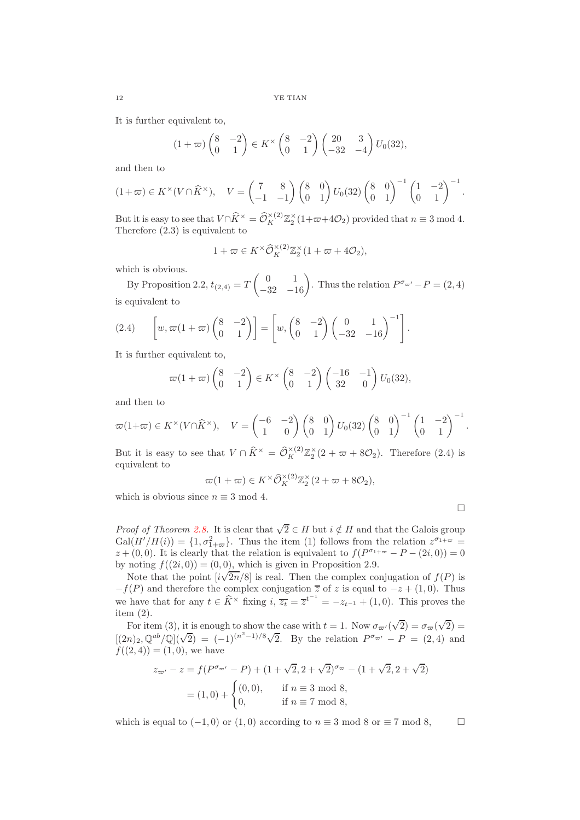It is further equivalent to,

$$
(1+\varpi)\begin{pmatrix}8&-2\\0&1\end{pmatrix}\in K^{\times}\begin{pmatrix}8&-2\\0&1\end{pmatrix}\begin{pmatrix}20&3\\-32&-4\end{pmatrix}U_0(32),
$$

and then to

$$
(1+\varpi)\in K^{\times}(V\cap\widehat{K}^{\times}),\quad V=\begin{pmatrix}7&8\\-1&-1\end{pmatrix}\begin{pmatrix}8&0\\0&1\end{pmatrix}U_0(32)\begin{pmatrix}8&0\\0&1\end{pmatrix}^{-1}\begin{pmatrix}1&-2\\0&1\end{pmatrix}^{-1}.
$$

But it is easy to see that  $V \cap \widehat{K}^{\times} = \widehat{\mathcal{O}}_K^{\times (2)} \mathbb{Z}_2^{\times} (1 + \varpi + 4\mathcal{O}_2)$  provided that  $n \equiv 3 \mod 4$ . Therefore (2.3) is equivalent to

$$
1 + \varpi \in K^{\times} \widehat{\mathcal{O}}_K^{\times (2)} \mathbb{Z}_2^{\times} (1 + \varpi + 4\mathcal{O}_2),
$$

which is obvious.

By Proposition 2.2,  $t_{(2,4)} = T$  $\begin{pmatrix} 0 & 1 \\ -32 & -16 \end{pmatrix}$ . Thus the relation  $P^{\sigma_{\varpi'}} - P = (2, 4)$ is equivalent to

$$
(2.4) \qquad \left[ w, \varpi(1+\varpi) \begin{pmatrix} 8 & -2 \\ 0 & 1 \end{pmatrix} \right] = \left[ w, \begin{pmatrix} 8 & -2 \\ 0 & 1 \end{pmatrix} \begin{pmatrix} 0 & 1 \\ -32 & -16 \end{pmatrix}^{-1} \right].
$$

It is further equivalent to,

$$
\varpi(1+\varpi)\begin{pmatrix}8&-2\\0&1\end{pmatrix}\in K^{\times}\begin{pmatrix}8&-2\\0&1\end{pmatrix}\begin{pmatrix}-16&-1\\32&0\end{pmatrix}U_0(32),
$$

and then to

$$
\varpi(1+\varpi) \in K^{\times}(V \cap \widehat{K}^{\times}), \quad V = \begin{pmatrix} -6 & -2 \\ 1 & 0 \end{pmatrix} \begin{pmatrix} 8 & 0 \\ 0 & 1 \end{pmatrix} U_0(32) \begin{pmatrix} 8 & 0 \\ 0 & 1 \end{pmatrix}^{-1} \begin{pmatrix} 1 & -2 \\ 0 & 1 \end{pmatrix}^{-1}
$$

.

 $\Box$ 

But it is easy to see that  $V \cap \hat{K}^{\times} = \hat{\mathcal{O}}_K^{\times(2)} \mathbb{Z}_2^{\times} (2 + \varpi + 8\mathcal{O}_2)$ . Therefore (2.4) is equivalent to

$$
\varpi(1+\varpi) \in K^{\times} \widehat{\mathcal{O}}_K^{\times (2)} \mathbb{Z}_2^{\times} (2+\varpi + 8\mathcal{O}_2),
$$

which is obvious since  $n \equiv 3 \mod 4$ .

*Proof of Theorem 2.8.* It is clear that 
$$
\sqrt{2} \in H
$$
 but  $i \notin H$  and that the Galois group  
Gal( $H'/H(i)$ ) = {1,  $\sigma_{1+\varpi}^2$ }. Thus the item (1) follows from the relation  $z^{\sigma_{1+\varpi}} =$   
 $z + (0,0)$ . It is clearly that the relation is equivalent to  $f(P^{\sigma_{1+\varpi}} - P - (2i,0)) = 0$   
by noting  $f((2i,0)) = (0,0)$ , which is given in Proposition 2.9.

Note that the point  $[i\sqrt{2n}/8]$  is real. Then the complex conjugation of  $f(P)$  is  $-f(P)$  and therefore the complex conjugation  $\overline{z}$  of z is equal to  $-z + (1,0)$ . Thus we have that for any  $t \in \widehat{K}^{\times}$  fixing  $i, \overline{z_t} = \overline{z}^{t^{-1}} = -z_{t^{-1}} + (1, 0)$ . This proves the item (2).

For item (3), it is enough to show the case with  $t = 1$ . Now  $\sigma_{\varpi'}(\sqrt{2}) = \sigma_{\varpi}(\sqrt{2}) =$  $[(2n)_2, \mathbb{Q}^{ab}/\mathbb{Q}](\sqrt{2}) = (-1)^{(n^2-1)/8}\sqrt{2}$ . By the relation  $P^{\sigma_{\infty'}} - P = (2, 4)$  and  $f((2, 4)) = (1, 0)$ , we have

$$
z_{\varpi'} - z = f(P^{\sigma_{\varpi'}} - P) + (1 + \sqrt{2}, 2 + \sqrt{2})^{\sigma_{\varpi}} - (1 + \sqrt{2}, 2 + \sqrt{2})
$$
  
= (1,0) +  $\begin{cases} (0,0), & \text{if } n \equiv 3 \text{ mod } 8, \\ 0, & \text{if } n \equiv 7 \text{ mod } 8, \end{cases}$ 

which is equal to  $(-1, 0)$  or  $(1, 0)$  according to  $n \equiv 3 \mod 8$  or  $\equiv 7 \mod 8$ ,  $\Box$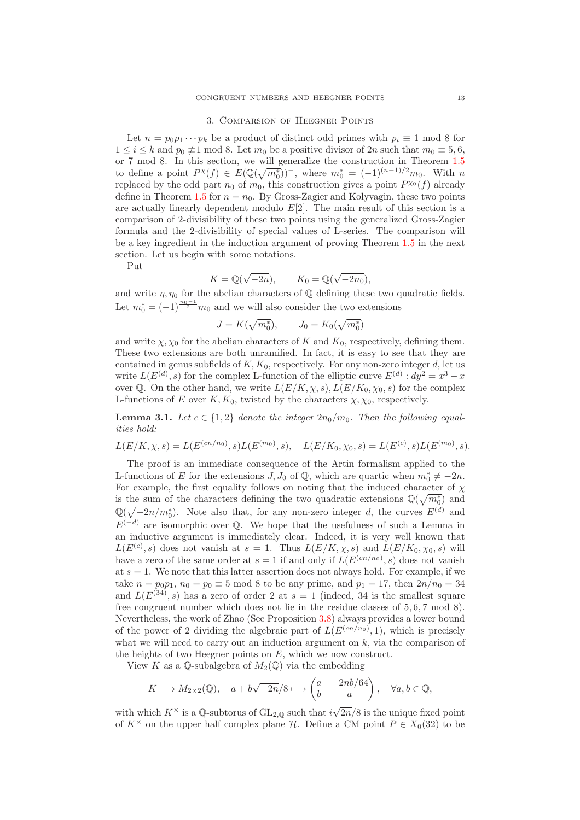#### 3. Comparsion of Heegner Points

<span id="page-12-0"></span>Let  $n = p_0 p_1 \cdots p_k$  be a product of distinct odd primes with  $p_i \equiv 1 \mod 8$  for  $1 \leq i \leq k$  and  $p_0 \not\equiv 1 \mod 8$ . Let  $m_0$  be a positive divisor of  $2n$  such that  $m_0 \equiv 5, 6$ , or 7 mod 8. In this section, we will generalize the construction in Theorem [1.5](#page-2-0) to define a point  $P^{\chi}(f) \in E(\mathbb{Q}(\sqrt{m_0^*}))^-$ , where  $m_0^* = (-1)^{(n-1)/2}m_0$ . With n replaced by the odd part  $n_0$  of  $m_0$ , this construction gives a point  $P^{\chi_0}(f)$  already define in Theorem [1.5](#page-2-0) for  $n = n_0$ . By Gross-Zagier and Kolyvagin, these two points are actually linearly dependent modulo  $E[2]$ . The main result of this section is a comparison of 2-divisibility of these two points using the generalized Gross-Zagier formula and the 2-divisibility of special values of L-series. The comparison will be a key ingredient in the induction argument of proving Theorem [1.5](#page-2-0) in the next section. Let us begin with some notations.

Put

$$
K = \mathbb{Q}(\sqrt{-2n}), \qquad K_0 = \mathbb{Q}(\sqrt{-2n_0}),
$$

and write  $\eta$ ,  $\eta_0$  for the abelian characters of  $\mathbb Q$  defining these two quadratic fields. Let  $m_0^* = (-1)^{\frac{n_0-1}{2}} m_0$  and we will also consider the two extensions

$$
J = K(\sqrt{m_0^*}), \qquad J_0 = K_0(\sqrt{m_0^*})
$$

and write  $\chi, \chi_0$  for the abelian characters of K and  $K_0$ , respectively, defining them. These two extensions are both unramified. In fact, it is easy to see that they are contained in genus subfields of  $K, K_0$ , respectively. For any non-zero integer d, let us write  $L(E^{(d)}, s)$  for the complex L-function of the elliptic curve  $E^{(d)}$ :  $dy^2 = x^3 - x$ over Q. On the other hand, we write  $L(E/K, \chi, s)$ ,  $L(E/K_0, \chi_0, s)$  for the complex L-functions of E over K,  $K_0$ , twisted by the characters  $\chi$ ,  $\chi_0$ , respectively.

**Lemma 3.1.** Let  $c \in \{1,2\}$  denote the integer  $2n_0/m_0$ . Then the following equal*ities hold:*

$$
L(E/K, \chi, s) = L(E^{(cn/n_0)}, s) L(E^{(m_0)}, s), \quad L(E/K_0, \chi_0, s) = L(E^{(c)}, s) L(E^{(m_0)}, s).
$$

The proof is an immediate consequence of the Artin formalism applied to the L-functions of E for the extensions  $J, J_0$  of  $\mathbb{Q}$ , which are quartic when  $m_0^* \neq -2n$ . For example, the first equality follows on noting that the induced character of  $\chi$ is the sum of the characters defining the two quadratic extensions  $\mathbb{Q}(\sqrt{m_0^*})$  and  $\mathbb{Q}(\sqrt{-2n/m_0^*})$ . Note also that, for any non-zero integer d, the curves  $E^{(d)}$  and  $E^{(-d)}$  are isomorphic over Q. We hope that the usefulness of such a Lemma in an inductive argument is immediately clear. Indeed, it is very well known that  $L(E^{(c)}, s)$  does not vanish at  $s = 1$ . Thus  $L(E/K, \chi, s)$  and  $L(E/K_0, \chi_0, s)$  will have a zero of the same order at  $s = 1$  if and only if  $L(E^{(cn/n_0)}, s)$  does not vanish at  $s = 1$ . We note that this latter assertion does not always hold. For example, if we take  $n = p_0 p_1$ ,  $n_0 = p_0 \equiv 5 \mod 8$  to be any prime, and  $p_1 = 17$ , then  $2n/n_0 = 34$ and  $L(E^{(34)}, s)$  has a zero of order 2 at  $s = 1$  (indeed, 34 is the smallest square free congruent number which does not lie in the residue classes of 5, 6, 7 mod 8). Nevertheless, the work of Zhao (See Proposition [3.8\)](#page-17-0) always provides a lower bound of the power of 2 dividing the algebraic part of  $L(E^{(cn/n_0)}, 1)$ , which is precisely what we will need to carry out an induction argument on  $k$ , via the comparison of the heights of two Heegner points on  $E$ , which we now construct.

View K as a Q-subalgebra of  $M_2(\mathbb{Q})$  via the embedding

$$
K\longrightarrow M_{2\times 2}(\mathbb{Q}),\quad a+b\sqrt{-2n}/8\longmapsto \begin{pmatrix} a&-2nb/64\\ b&a\end{pmatrix},\quad \forall a,b\in \mathbb{Q},
$$

with which  $K^{\times}$  is a Q-subtorus of  $GL_{2,\mathbb{Q}}$  such that  $i\sqrt{2n}/8$  is the unique fixed point of  $K^{\times}$  on the upper half complex plane H. Define a CM point  $P \in X_0(32)$  to be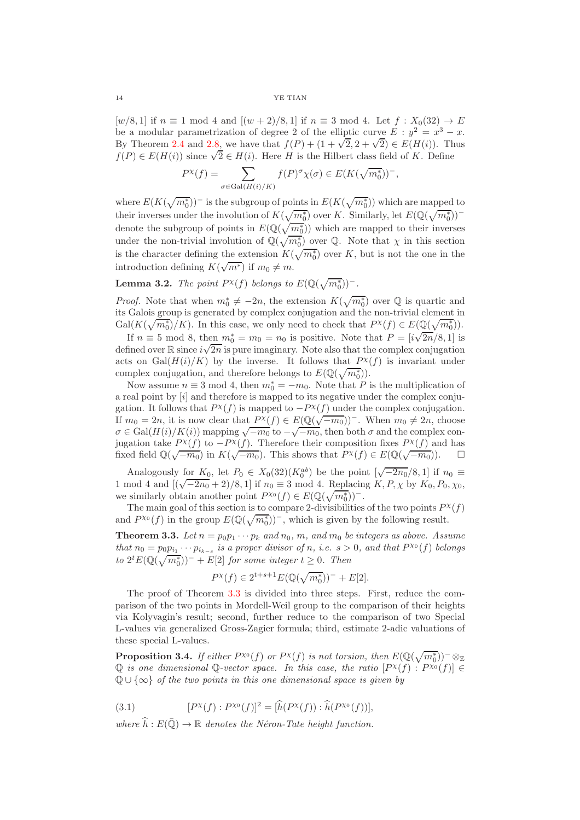$[w/8, 1]$  if  $n \equiv 1 \mod 4$  and  $[(w + 2)/8, 1]$  if  $n \equiv 3 \mod 4$ . Let  $f : X_0(32) \to E$ be a modular parametrization of degree 2 of the elliptic curve  $E : y^2 = x^3 - x$ . By Theorem [2.4](#page-7-0) and [2.8,](#page-10-0) we have that  $f(P) + (1 + \sqrt{2}, 2 + \sqrt{2}) \in E(H(i))$ . Thus  $f(P) \in E(H(i))$  since  $\sqrt{2} \in H(i)$ . Here H is the Hilbert class field of K. Define

$$
P^{\chi}(f) = \sum_{\sigma \in \text{Gal}(H(i)/K)} f(P)^{\sigma} \chi(\sigma) \in E(K(\sqrt{m_0^*}))^-,
$$

where  $E(K(\sqrt{m_0^*}))$ <sup>-</sup> is the subgroup of points in  $E(K(\sqrt{m_0^*}))$  which are mapped to their inverses under the involution of  $K(\sqrt{m_0^*})$  over K. Similarly, let  $E(\mathbb{Q}(\sqrt{m_0^*}))^$ denote the subgroup of points in  $E(\mathbb{Q}(\sqrt{m_0^*}))$  which are mapped to their inverses under the non-trivial involution of  $\mathbb{Q}(\sqrt{m_0^*})$  over  $\mathbb{Q}$ . Note that  $\chi$  in this section is the character defining the extension  $K(\sqrt{m_0^*})$  over K, but is not the one in the introduction defining  $K(\sqrt{m^*})$  if  $m_0 \neq m$ .

**Lemma 3.2.** *The point*  $P^{\chi}(f)$  *belongs to*  $E(\mathbb{Q}(\sqrt{m_0^*}))^{-1}$ .

*Proof.* Note that when  $m_0^* \neq -2n$ , the extension  $K(\sqrt{m_0^*})$  over  $\mathbb Q$  is quartic and its Galois group is generated by complex conjugation and the non-trivial element in  $Gal(K(\sqrt{m_0^*})/K)$ . In this case, we only need to check that  $P^{\chi}(f) \in E(\mathbb{Q}(\sqrt{m_0^*}))$ . If  $n \equiv 5 \mod 8$ , then  $m_0^* = m_0 = n_0$  is positive. Note that  $P = [i\sqrt{2n}/8, 1]$  is

defined over  $\mathbb R$  since  $i\sqrt{2n}$  is pure imaginary. Note also that the complex conjugation acts on  $Gal(H(i)/K)$  by the inverse. It follows that  $P^{\chi}(f)$  is invariant under complex conjugation, and therefore belongs to  $E(\mathbb{Q}(\sqrt{m_0^*}))$ .

Now assume  $n \equiv 3 \mod 4$ , then  $m_0^* = -m_0$ . Note that P is the multiplication of a real point by  $[i]$  and therefore is mapped to its negative under the complex conjugation. It follows that  $P^{\chi}(f)$  is mapped to  $-P^{\chi}(f)$  under the complex conjugation. If  $m_0 = 2n$ , it is now clear that  $P^{\chi}(f) \in E(\mathbb{Q}(\sqrt{-m_0}))^-$ . When  $m_0 \neq 2n$ , choose  $\sigma \in \text{Gal}(H(i)/K(i))$  mapping  $\sqrt{-m_0}$  to  $-\sqrt{-m_0}$ , then both  $\sigma$  and the complex conjugation take  $P^{\chi}(f)$  to  $-P^{\chi}(f)$ . Therefore their composition fixes  $P^{\chi}(f)$  and has fixed field  $\mathbb{Q}(\sqrt{-m_0})$  in  $K(\sqrt{-m_0})$ . This shows that  $P^{\chi}(f) \in E(\mathbb{Q}(\sqrt{-m_0}))$ .  $\square$ 

Analogously for  $K_0$ , let  $P_0 \in X_0(32)(K_0^{ab})$  be the point  $\left[\sqrt{-2n_0}/8, 1\right]$  if  $n_0 \equiv$ 1 mod 4 and  $[(\sqrt{-2n_0}+2)/8, 1]$  if  $n_0 \equiv 3 \mod 4$ . Replacing  $K, P, \chi$  by  $K_0, P_0, \chi_0$ , we similarly obtain another point  $P^{\chi_0}(f) \in E(\mathbb{Q}(\sqrt{m_0^*}))$ .

The main goal of this section is to compare 2-divisibilities of the two points  $P^{\chi}(f)$ and  $P^{\chi_0}(f)$  in the group  $E(\mathbb{Q}(\sqrt{m_0^*}))^-$ , which is given by the following result.

<span id="page-13-0"></span>**Theorem 3.3.** Let  $n = p_0 p_1 \cdots p_k$  and  $n_0$ ,  $m$ , and  $m_0$  be integers as above. Assume *that*  $n_0 = p_0 p_{i_1} \cdots p_{i_{k-s}}$  *is a proper divisor of n, i.e.*  $s > 0$ *, and that*  $P^{\chi_0}(f)$  *belongs*  $to 2<sup>t</sup>E(\mathbb{Q}(\sqrt{m_0^*}))^- + E[2]$  *for some integer*  $t \geq 0$ *. Then* 

$$
P^\chi(f)\in 2^{t+s+1}E(\mathbb{Q}(\sqrt{m_0^*}))^-+E[2].
$$

The proof of Theorem [3.3](#page-13-0) is divided into three steps. First, reduce the comparison of the two points in Mordell-Weil group to the comparison of their heights via Kolyvagin's result; second, further reduce to the comparison of two Special L-values via generalized Gross-Zagier formula; third, estimate 2-adic valuations of these special L-values.

<span id="page-13-1"></span>**Proposition 3.4.** *If either*  $P^{\chi_0}(f)$  *or*  $P^{\chi}(f)$  *is not torsion, then*  $E(Q(\sqrt{m_0^*}))^-\otimes_{\mathbb{Z}}$  $\mathbb Q$  is one dimensional  $\mathbb Q$ -vector space. In this case, the ratio  $[P^{\chi}(f): P^{\chi_0}(f)] \in$ Q ∪ {∞} *of the two points in this one dimensional space is given by*

(3.1) 
$$
[P^{\chi}(f): P^{\chi_0}(f)]^2 = [\hat{h}(P^{\chi}(f)) : \hat{h}(P^{\chi_0}(f))],
$$

*where*  $\widehat{h}: E(\overline{\mathbb{Q}}) \to \mathbb{R}$  *denotes the Néron-Tate height function.*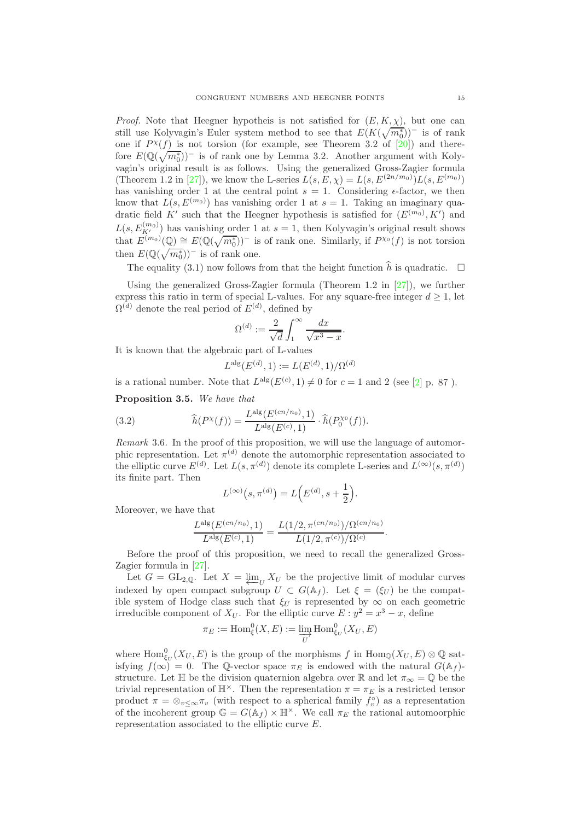*Proof.* Note that Heegner hypotheis is not satisfied for  $(E, K, \chi)$ , but one can still use Kolyvagin's Euler system method to see that  $E(K(\sqrt{m_0^*}))^-$  is of rank one if  $P^{\chi}(f)$  is not torsion (for example, see Theorem 3.2 of [\[20\]](#page-29-13)) and therefore  $E(\mathbb{Q}(\sqrt{m_0^*}))$ <sup>-</sup> is of rank one by Lemma 3.2. Another argument with Kolyvagin's original result is as follows. Using the generalized Gross-Zagier formula (Theorem 1.2 in [\[27\]](#page-29-6)), we know the L-series  $L(s, E, \chi) = L(s, E^{(2n/m_0)}) L(s, E^{(m_0)})$ has vanishing order 1 at the central point  $s = 1$ . Considering  $\epsilon$ -factor, we then know that  $L(s, E^{(m_0)})$  has vanishing order 1 at  $s = 1$ . Taking an imaginary quadratic field K' such that the Heegner hypothesis is satisfied for  $(E^{(m_0)}, K')$  and  $L(s, E_{K'}^{(m_0)})$  has vanishing order 1 at  $s = 1$ , then Kolyvagin's original result shows that  $E^{(m_0)}(\mathbb{Q}) \cong E(\mathbb{Q}(\sqrt{m_0^*}))$  is of rank one. Similarly, if  $P^{\chi_0}(f)$  is not torsion then  $E(\mathbb{Q}(\sqrt{m_0^*}))^-$  is of rank one.

The equality (3.1) now follows from that the height function  $\hat{h}$  is quadratic.  $\Box$ 

Using the generalized Gross-Zagier formula (Theorem 1.2 in [\[27\]](#page-29-6)), we further express this ratio in term of special L-values. For any square-free integer  $d \geq 1$ , let  $\Omega^{(d)}$  denote the real period of  $E^{(d)}$ , defined by

$$
\Omega^{(d)} := \frac{2}{\sqrt{d}} \int_1^{\infty} \frac{dx}{\sqrt{x^3 - x}}.
$$

It is known that the algebraic part of L-values

$$
L^{\mathrm{alg}}(E^{(d)}, 1) := L(E^{(d)}, 1) / \Omega^{(d)}
$$

is a rational number. Note that  $L^{\text{alg}}(E^{(c)}, 1) \neq 0$  for  $c = 1$  and 2 (see [\[2\]](#page-28-4) p. 87).

<span id="page-14-0"></span>Proposition 3.5. *We have that*

(3.2) 
$$
\widehat{h}(P^{\chi}(f)) = \frac{L^{\text{alg}}(E^{(cn/n_0)}, 1)}{L^{\text{alg}}(E^{(c)}, 1)} \cdot \widehat{h}(P_0^{\chi_0}(f)).
$$

*Remark* 3.6*.* In the proof of this proposition, we will use the language of automorphic representation. Let  $\pi^{(d)}$  denote the automorphic representation associated to the elliptic curve  $E^{(d)}$ . Let  $L(s, \pi^{(d)})$  denote its complete L-series and  $L^{(\infty)}(s, \pi^{(d)})$ its finite part. Then

$$
L^{(\infty)}(s, \pi^{(d)}) = L(E^{(d)}, s + \frac{1}{2}).
$$

Moreover, we have that

$$
\frac{L^{\mathrm{alg}}(E^{(cn/n_0)}, 1)}{L^{\mathrm{alg}}(E^{(c)}, 1)} = \frac{L(1/2, \pi^{(cn/n_0)})/\Omega^{(cn/n_0)}}{L(1/2, \pi^{(c)})/\Omega^{(c)}}.
$$

Before the proof of this proposition, we need to recall the generalized Gross-Zagier formula in [\[27\]](#page-29-6).

Let  $G = GL_{2,\mathbb{Q}}$ . Let  $X = \varprojlim_{U} X_{U}$  be the projective limit of modular curves indexed by open compact subgroup  $U \subset G(\mathbb{A}_f)$ . Let  $\xi = (\xi_U)$  be the compatingible system of Hodge class such that  $\xi_U$  is represented by  $\infty$  on each geometric irreducible component of  $X_U$ . For the elliptic curve  $E: y^2 = x^3 - x$ , define

$$
\pi_E := \operatorname{Hom}_{\xi}^{0}(X, E) := \varinjlim_{U} \operatorname{Hom}_{\xi_U}^{0}(X_U, E)
$$

where  $\text{Hom}_{\xi_U}^0(X_U, E)$  is the group of the morphisms f in  $\text{Hom}_{\mathbb{Q}}(X_U, E) \otimes \mathbb{Q}$  satisfying  $f(\infty) = 0$ . The Q-vector space  $\pi_E$  is endowed with the natural  $G(\mathbb{A}_f)$ structure. Let H be the division quaternion algebra over R and let  $\pi_{\infty} = \mathbb{Q}$  be the trivial representation of  $\mathbb{H}^{\times}$ . Then the representation  $\pi = \pi_E$  is a restricted tensor product  $\pi = \otimes_{v \leq \infty} \pi_v$  (with respect to a spherical family  $f_v^{\circ}$ ) as a representation of the incoherent group  $\mathbb{G} = G(\mathbb{A}_f) \times \mathbb{H}^\times$ . We call  $\pi_E$  the rational automoorphic representation associated to the elliptic curve E.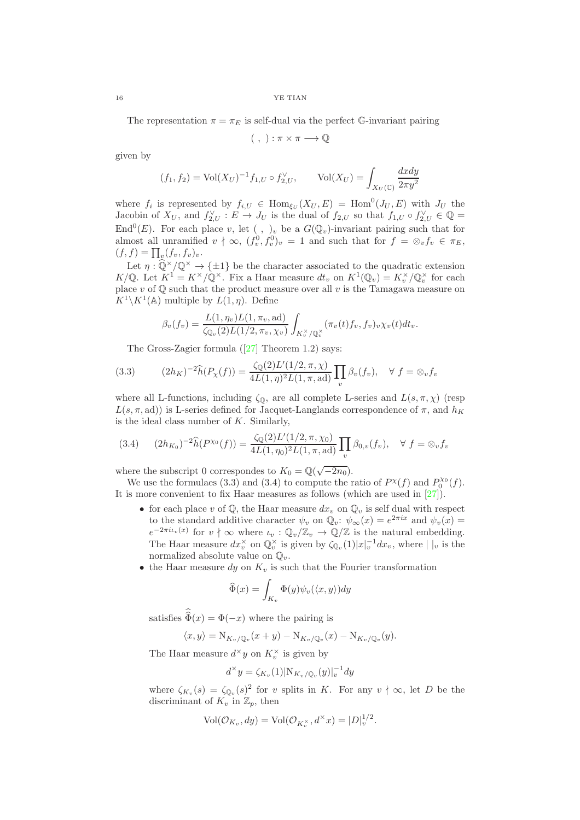The representation  $\pi = \pi_E$  is self-dual via the perfect G-invariant pairing

$$
(\ ,\ ):\pi\times\pi\longrightarrow\mathbb{Q}
$$

given by

$$
(f_1, f_2) = \text{Vol}(X_U)^{-1} f_{1,U} \circ f_{2,U}^{\vee}, \qquad \text{Vol}(X_U) = \int_{X_U(\mathbb{C})} \frac{dx dy}{2\pi y^2}
$$

where  $f_i$  is represented by  $f_{i,U} \in \text{Hom}_{\xi_U}(X_U, E) = \text{Hom}^0(J_U, E)$  with  $J_U$  the Jacobin of  $X_U$ , and  $f_{2,U}^{\vee}: E \to J_U$  is the dual of  $f_{2,U}$  so that  $f_{1,U} \circ f_{2,U}^{\vee} \in \mathbb{Q} =$ End<sup>0</sup>(E). For each place v, let (, )<sub>v</sub> be a  $G(\mathbb{Q}_v)$ -invariant pairing such that for almost all unramified  $v \nmid \infty$ ,  $(f_v^0, f_v^0)_v = 1$  and such that for  $f = \otimes_v f_v \in \pi_E$ ,  $(f, f) = \prod_{v} (f_v, f_v)_v.$ 

Let  $\eta : \widehat{\mathbb{Q}}^{\times}/\mathbb{Q}^{\times} \to {\{\pm 1\}}$  be the character associated to the quadratic extension K/Q. Let  $K^1 = K^\times/\mathbb{Q}^\times$ . Fix a Haar measure  $dt_v$  on  $K^1(\mathbb{Q}_v) = K_v^\times/\mathbb{Q}_v^\times$  for each place v of  $\mathbb Q$  such that the product measure over all v is the Tamagawa measure on  $K^1 \backslash K^1(\mathbb{A})$  multiple by  $L(1, \eta)$ . Define

$$
\beta_v(f_v) = \frac{L(1,\eta_v)L(1,\pi_v,\mathrm{ad})}{\zeta_{\mathbb{Q}_v}(2)L(1/2,\pi_v,\chi_v)} \int_{K_v^\times/\mathbb{Q}_v^\times} (\pi_v(t)f_v,f_v)_{v}\chi_v(t)dt_v.
$$

TheGross-Zagier formula  $(27)$  Theorem 1.2) says:

(3.3) 
$$
(2h_K)^{-2} \widehat{h}(P_X(f)) = \frac{\zeta_{\mathbb{Q}}(2)L'(1/2, \pi, \chi)}{4L(1, \eta)^2 L(1, \pi, \text{ad})} \prod_v \beta_v(f_v), \quad \forall \ f = \otimes_v f_v
$$

where all L-functions, including  $\zeta_0$ , are all complete L-series and  $L(s, \pi, \chi)$  (resp  $L(s, \pi, \text{ad})$  is L-series defined for Jacquet-Langlands correspondence of  $\pi$ , and  $h_K$ is the ideal class number of  $K$ . Similarly,

$$
(3.4) \qquad (2h_{K_0})^{-2}\widehat{h}(P^{\chi_0}(f)) = \frac{\zeta_{\mathbb{Q}}(2)L'(1/2, \pi, \chi_0)}{4L(1, \eta_0)^2L(1, \pi, \text{ad})} \prod_v \beta_{0,v}(f_v), \quad \forall \ f = \otimes_v f_v
$$

where the subscript 0 correspondes to  $K_0 = \mathbb{Q}(\sqrt{-2n_0})$ .

We use the formulaes (3.3) and (3.4) to compute the ratio of  $P^{\chi}(f)$  and  $P_0^{\chi_0}(f)$ . It is more convenient to fix Haar measures as follows (which are used in [\[27\]](#page-29-6)).

- for each place v of  $\mathbb{Q}$ , the Haar measure  $dx_v$  on  $\mathbb{Q}_v$  is self dual with respect to the standard additive character  $\psi_v$  on  $\mathbb{Q}_v$ :  $\psi_\infty(x) = e^{2\pi ix}$  and  $\psi_v(x) =$  $e^{-2\pi i \iota_v(x)}$  for  $v \nmid \infty$  where  $\iota_v : \mathbb{Q}_v/\mathbb{Z}_v \to \mathbb{Q}/\mathbb{Z}$  is the natural embedding. The Haar measure  $dx_v^{\times}$  on  $\mathbb{Q}_v^{\times}$  is given by  $\zeta_{\mathbb{Q}_v}(1)|x|_v^{-1}dx_v$ , where  $| \ |_v$  is the normalized absolute value on  $\mathbb{Q}_v$ .
- the Haar measure dy on  $K_v$  is such that the Fourier transformation

$$
\widehat{\Phi}(x) = \int_{K_v} \Phi(y) \psi_v(\langle x, y \rangle) dy
$$

satisfies  $\Phi(x) = \Phi(-x)$  where the pairing is

$$
\langle x, y \rangle = \mathcal{N}_{K_v/\mathbb{Q}_v}(x+y) - \mathcal{N}_{K_v/\mathbb{Q}_v}(x) - \mathcal{N}_{K_v/\mathbb{Q}_v}(y).
$$

The Haar measure  $d^{\times}y$  on  $K_v^{\times}$  is given by

$$
d^{\times}y = \zeta_{K_v}(1)|N_{K_v/\mathbb{Q}_v}(y)|_v^{-1}dy
$$

where  $\zeta_{K_v}(s) = \zeta_{\mathbb{Q}_v}(s)^2$  for v splits in K. For any  $v \nmid \infty$ , let D be the discriminant of  $K_v$  in  $\mathbb{Z}_p$ , then

$$
Vol(\mathcal{O}_{K_v}, dy) = Vol(\mathcal{O}_{K_v^{\times}}, d^{\times} x) = |D|_v^{1/2}.
$$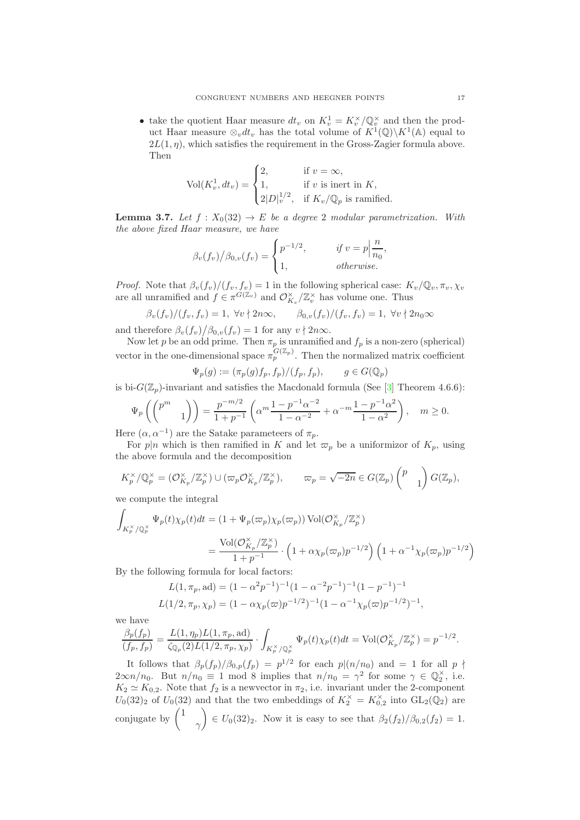• take the quotient Haar measure  $dt_v$  on  $K_v^1 = K_v^{\times}/\mathbb{Q}_v^{\times}$  and then the product Haar measure  $\otimes_v dt_v$  has the total volume of  $K^1(\mathbb{Q})\backslash K^1(\mathbb{A})$  equal to  $2L(1, \eta)$ , which satisfies the requirement in the Gross-Zagier formula above. Then

$$
\text{Vol}(K_v^1, dt_v) = \begin{cases} 2, & \text{if } v = \infty, \\ 1, & \text{if } v \text{ is inert in } K, \\ 2|D|_v^{1/2}, & \text{if } K_v/\mathbb{Q}_p \text{ is ramified.} \end{cases}
$$

**Lemma 3.7.** *Let*  $f : X_0(32) \to E$  *be a degree* 2 *modular parametrization. With the above fixed Haar measure, we have*

$$
\beta_v(f_v)/\beta_{0,v}(f_v) = \begin{cases} p^{-1/2}, & \text{if } v = p \Big| \frac{n}{n_0}, \\ 1, & \text{otherwise.} \end{cases}
$$

*Proof.* Note that  $\beta_v(f_v)/(f_v, f_v) = 1$  in the following spherical case:  $K_v/\mathbb{Q}_v, \pi_v, \chi_v$ are all unramified and  $f \in \pi^{G(\mathbb{Z}_v)}$  and  $\mathcal{O}_{K_v}^{\times}/\mathbb{Z}_v^{\times}$  has volume one. Thus

$$
\beta_v(f_v)/(f_v, f_v) = 1, \ \forall v \nmid 2n\infty, \qquad \beta_{0,v}(f_v)/(f_v, f_v) = 1, \ \forall v \nmid 2n_0 \infty
$$

and therefore  $\frac{\beta_v(f_v)}{\beta_{0,v}(f_v)} = 1$  for any  $v \nmid 2n\infty$ .

Now let p be an odd prime. Then  $\pi_p$  is unramified and  $f_p$  is a non-zero (spherical) vector in the one-dimensional space  $\pi_p^{G(\mathbb{Z}_p)}$ . Then the normalized matrix coefficient

$$
\Psi_p(g) := (\pi_p(g)f_p, f_p) / (f_p, f_p), \qquad g \in G(\mathbb{Q}_p)
$$

is bi- $G(\mathbb{Z}_p)$ -invariant and satisfies the Macdonald formula (See [\[3\]](#page-28-5) Theorem 4.6.6):

$$
\Psi_p\left(\begin{pmatrix}p^m & 1\\ & 1\end{pmatrix}\right) = \frac{p^{-m/2}}{1+p^{-1}} \left(\alpha^m \frac{1-p^{-1}\alpha^{-2}}{1-\alpha^{-2}} + \alpha^{-m} \frac{1-p^{-1}\alpha^2}{1-\alpha^2}\right), \quad m \ge 0.
$$

Here  $(\alpha, \alpha^{-1})$  are the Satake parameteers of  $\pi_p$ .

For p|n which is then ramified in K and let  $\varpi_p$  be a uniformizor of  $K_p$ , using the above formula and the decomposition

$$
K_p^{\times}/\mathbb{Q}_p^{\times} = (\mathcal{O}_{K_p}^{\times}/\mathbb{Z}_p^{\times}) \cup (\varpi_p \mathcal{O}_{K_p}^{\times}/\mathbb{Z}_p^{\times}), \qquad \varpi_p = \sqrt{-2n} \in G(\mathbb{Z}_p) \begin{pmatrix} p \\ & 1 \end{pmatrix} G(\mathbb{Z}_p),
$$

we compute the integral

$$
\int_{K_p^\times/\mathbb{Q}_p^\times} \Psi_p(t)\chi_p(t)dt = \left(1 + \Psi_p(\varpi_p)\chi_p(\varpi_p)\right) \text{Vol}(\mathcal{O}_{K_p}^\times/\mathbb{Z}_p^\times)
$$
\n
$$
= \frac{\text{Vol}(\mathcal{O}_{K_p}^\times/\mathbb{Z}_p^\times)}{1 + p^{-1}} \cdot \left(1 + \alpha\chi_p(\varpi_p)p^{-1/2}\right) \left(1 + \alpha^{-1}\chi_p(\varpi_p)p^{-1/2}\right)
$$

By the following formula for local factors:

$$
L(1, \pi_p, \text{ad}) = (1 - \alpha^2 p^{-1})^{-1} (1 - \alpha^{-2} p^{-1})^{-1} (1 - p^{-1})^{-1}
$$
  

$$
L(1/2, \pi_p, \chi_p) = (1 - \alpha \chi_p(\varpi) p^{-1/2})^{-1} (1 - \alpha^{-1} \chi_p(\varpi) p^{-1/2})^{-1},
$$

we have

$$
\frac{\beta_p(f_p)}{(f_p,f_p)} = \frac{L(1,\eta_p)L(1,\pi_p,\mathrm{ad})}{\zeta_{\mathbb{Q}_p}(2)L(1/2,\pi_p,\chi_p)} \cdot \int_{K_p^\times/\mathbb{Q}_p^\times} \Psi_p(t)\chi_p(t)dt = \mathrm{Vol}(\mathcal{O}_{K_p}^\times/\mathbb{Z}_p^\times) = p^{-1/2}.
$$

It follows that  $\beta_p(f_p)/\beta_{0,p}(f_p) = p^{1/2}$  for each  $p|(n/n_0)$  and  $= 1$  for all  $p \nmid$  $2\infty n/n_0$ . But  $n/n_0 \equiv 1 \mod 8$  implies that  $n/n_0 = \gamma^2$  for some  $\gamma \in \mathbb{Q}_2^{\times}$ , i.e.  $K_2 \simeq K_{0,2}$ . Note that  $f_2$  is a newvector in  $\pi_2$ , i.e. invariant under the 2-component  $U_0(32)_2$  of  $U_0(32)$  and that the two embeddings of  $K_2^{\times} = K_{0,2}^{\times}$  into  $GL_2(\mathbb{Q}_2)$  are conjugate by  $\binom{1}{1}$  $\gamma$  $\setminus$  $\in U_0(32)_2$ . Now it is easy to see that  $\beta_2(f_2)/\beta_{0,2}(f_2) = 1$ .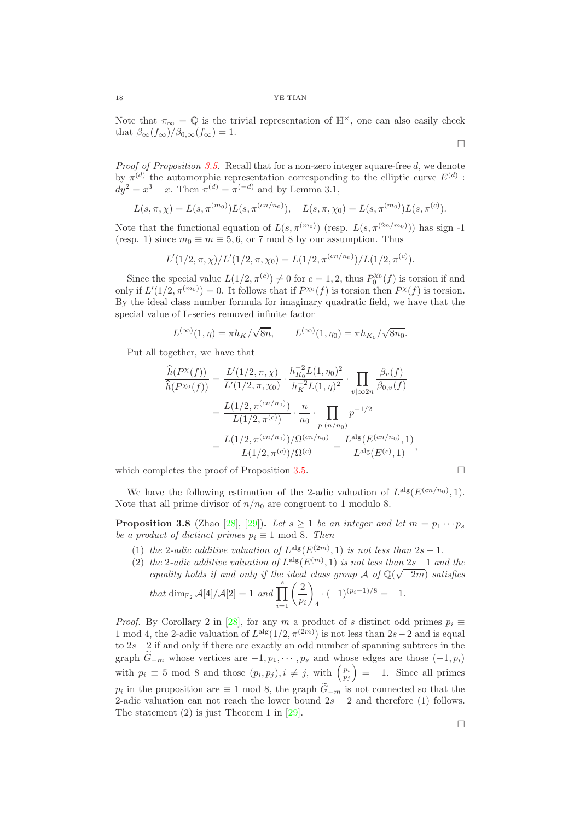Note that  $\pi_{\infty} = \mathbb{Q}$  is the trivial representation of  $\mathbb{H}^{\times}$ , one can also easily check that  $\beta_{\infty}(f_{\infty})/\beta_{0,\infty}(f_{\infty})=1$ .

*Proof of Proposition [3.5.](#page-14-0)* Recall that for a non-zero integer square-free d, we denote by  $\pi^{(d)}$  the automorphic representation corresponding to the elliptic curve  $E^{(d)}$ :  $dy^2 = x^3 - x$ . Then  $\pi^{(d)} = \pi^{(-d)}$  and by Lemma 3.1,

$$
L(s,\pi,\chi) = L(s,\pi^{(m_0)})L(s,\pi^{(cn/n_0)}), \quad L(s,\pi,\chi_0) = L(s,\pi^{(m_0)})L(s,\pi^{(c)}).
$$

Note that the functional equation of  $L(s, \pi^{(m_0)})$  (resp.  $L(s, \pi^{(2n/m_0)})$ ) has sign -1 (resp. 1) since  $m_0 \equiv m \equiv 5, 6$ , or 7 mod 8 by our assumption. Thus

$$
L'(1/2, \pi, \chi)/L'(1/2, \pi, \chi_0) = L(1/2, \pi^{(cn/n_0)})/L(1/2, \pi^{(c)}).
$$

Since the special value  $L(1/2, \pi^{(c)}) \neq 0$  for  $c = 1, 2$ , thus  $P_0^{\chi_0}(f)$  is torsion if and only if  $L'(1/2, \pi^{(m_0)}) = 0$ . It follows that if  $P^{\chi_0}(f)$  is torsion then  $P^{\chi}(f)$  is torsion. By the ideal class number formula for imaginary quadratic field, we have that the special value of L-series removed infinite factor

$$
L^{(\infty)}(1,\eta) = \pi h_K / \sqrt{8n}, \qquad L^{(\infty)}(1,\eta_0) = \pi h_{K_0} / \sqrt{8n_0}.
$$

Put all together, we have that

$$
\frac{\widehat{h}(P^{\chi}(f))}{\widehat{h}(P^{\chi_0}(f))} = \frac{L'(1/2, \pi, \chi)}{L'(1/2, \pi, \chi_0)} \cdot \frac{h_{K_0}^{-2}L(1, \eta_0)^2}{h_{K_0}^{-2}L(1, \eta)^2} \cdot \prod_{v|\infty 2n} \frac{\beta_v(f)}{\beta_{0,v}(f)}
$$
\n
$$
= \frac{L(1/2, \pi^{(cn/n_0)})}{L(1/2, \pi^{(c)})} \cdot \frac{n}{n_0} \cdot \prod_{p|(n/n_0)} p^{-1/2}
$$
\n
$$
= \frac{L(1/2, \pi^{(cn/n_0)})/\Omega^{(cn/n_0)}}{L(1/2, \pi^{(c)})/\Omega^{(c)}} = \frac{L^{\text{alg}}(E^{(cn/n_0)}, 1)}{L^{\text{alg}}(E^{(c)}, 1)},
$$

which completes the proof of Proposition [3.5.](#page-14-0)  $\Box$ 

We have the following estimation of the 2-adic valuation of  $L^{alg}(E^{(cn/n_0)}, 1)$ . Note that all prime divisor of  $n/n_0$  are congruent to 1 modulo 8.

<span id="page-17-0"></span>**Proposition 3.8** (Zhao [\[28\]](#page-29-7), [\[29\]](#page-29-14)). Let  $s \geq 1$  be an integer and let  $m = p_1 \cdots p_s$ *be a product of dictinct primes*  $p_i \equiv 1 \text{ mod } 8$ *. Then* 

- (1) *the* 2-*adic additive valuation of*  $L^{alg}(E^{(2m)}, 1)$  *is not less than*  $2s 1$ *.*
- (2) *the* 2-*adic additive valuation of*  $L^{alg}(E^{(m)}, 1)$  *is not less than* 2*s* 1 *and the equality holds if and only if the ideal class group*  $\mathcal A$  *of*  $\mathbb Q(\sqrt{-2m})$  *satisfies*  $(2)$

that dim<sub>F<sub>2</sub></sub> 
$$
\mathcal{A}[4]/\mathcal{A}[2] = 1
$$
 and  $\prod_{i=1}^{s} \left(\frac{2}{p_i}\right)_4 \cdot (-1)^{(p_i-1)/8} = -1.$ 

*Proof.* By Corollary 2 in [\[28\]](#page-29-7), for any m a product of s distinct odd primes  $p_i \equiv$ 1 mod 4, the 2-adic valuation of  $L^{\text{alg}}(1/2, \pi^{(2m)})$  is not less than 2s – 2 and is equal to 2s−2 if and only if there are exactly an odd number of spanning subtrees in the graph  $\widetilde{G}_{-m}$  whose vertices are  $-1, p_1, \cdots, p_s$  and whose edges are those  $(-1, p_i)$ with  $p_i \equiv 5 \mod 8$  and those  $(p_i, p_j), i \neq j$ , with  $\left(\frac{p_i}{p_j}\right)$  $= -1.$  Since all primes  $p_i$  in the proposition are  $\equiv 1 \mod 8$ , the graph  $G_{-m}$  is not connected so that the 2-adic valuation can not reach the lower bound  $2s - 2$  and therefore (1) follows. The statement (2) is just Theorem 1 in [\[29\]](#page-29-14).

 $\Box$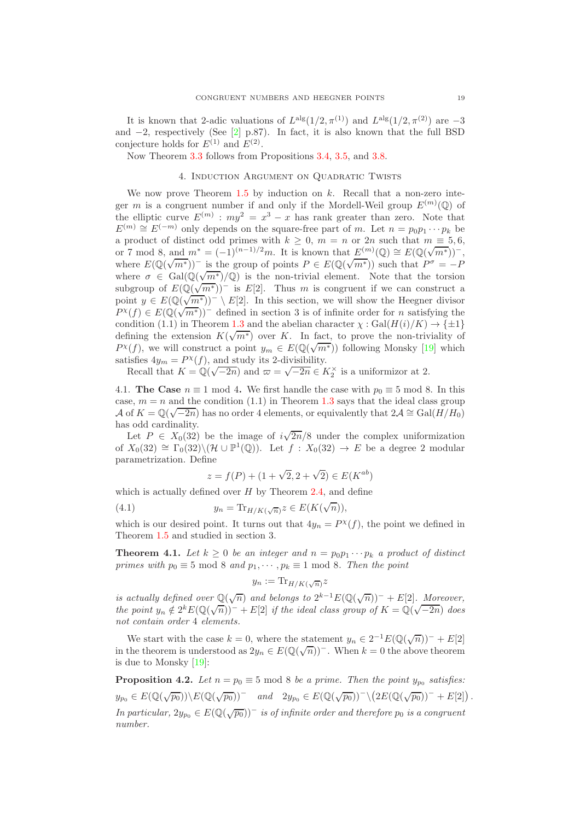It is known that 2-adic valuations of  $L^{alg}(1/2, \pi^{(1)})$  and  $L^{alg}(1/2, \pi^{(2)})$  are  $-3$ and  $-2$ , respectively (See [\[2\]](#page-28-4) p.87). In fact, it is also known that the full BSD conjecture holds for  $E^{(1)}$  and  $E^{(2)}$ .

<span id="page-18-0"></span>Now Theorem [3.3](#page-13-0) follows from Propositions [3.4,](#page-13-1) [3.5,](#page-14-0) and [3.8.](#page-17-0)

## 4. Induction Argument on Quadratic Twists

We now prove Theorem  $1.5$  by induction on k. Recall that a non-zero integer m is a congruent number if and only if the Mordell-Weil group  $E^{(m)}(\mathbb{Q})$  of the elliptic curve  $E^{(m)}$ :  $my^2 = x^3 - x$  has rank greater than zero. Note that  $E^{(m)} \cong E^{(-m)}$  only depends on the square-free part of m. Let  $n = p_0 p_1 \cdots p_k$  be a product of distinct odd primes with  $k > 0$ ,  $m = n$  or  $2n$  such that  $m \equiv 5, 6$ , or 7 mod 8, and  $m^* = (-1)^{(n-1)/2}m$ . It is known that  $E^{(m)}(\mathbb{Q}) \cong E(\mathbb{Q}(\sqrt{m^*}))^-$ , where  $E(\mathbb{Q}(\sqrt{m^*}))$  is the group of points  $P \in E(\mathbb{Q}(\sqrt{m^*}))$  such that  $P^{\sigma} = -P$ where  $\sigma \in \text{Gal}(\mathbb{Q}(\sqrt{m^*})/\mathbb{Q})$  is the non-trivial element. Note that the torsion subgroup of  $E(\mathbb{Q}(\sqrt{m^*}))^-$  is  $E[2]$ . Thus m is congruent if we can construct a point  $y \in E(\mathbb{Q}(\overline{m^*}))^- \setminus E[2]$ . In this section, we will show the Heegner divisor  $P^{\chi}(f) \in E(\mathbb{Q}(\sqrt{m^*}))^-$  defined in section 3 is of infinite order for *n* satisfying the condition (1.1) in Theorem [1.3](#page-1-0) and the abelian character  $\chi : \text{Gal}(H(i)/K) \to {\pm 1}$ defining the extension  $K(\sqrt{m^*})$  over K. In fact, to prove the non-triviality of  $P^{\chi}(f)$ , we will construct a point  $y_m \in E(\mathbb{Q}(\sqrt{m^*}))$  following Monsky [\[19\]](#page-29-2) which satisfies  $4y_m = P^{\chi}(f)$ , and study its 2-divisibility.

Recall that  $K = \mathbb{Q}(\sqrt{-2n})$  and  $\varpi = \sqrt{-2n} \in K_2^{\times}$  is a uniformizor at 2.

<span id="page-18-1"></span>4.1. The Case  $n \equiv 1 \mod 4$ . We first handle the case with  $p_0 \equiv 5 \mod 8$ . In this case,  $m = n$  and the condition (1.1) in Theorem [1.3](#page-1-0) says that the ideal class group A of  $K = \mathbb{Q}(\sqrt{-2n})$  has no order 4 elements, or equivalently that  $2\mathcal{A} \cong \text{Gal}(H/H_0)$ has odd cardinality.

Let  $P \in X_0(32)$  be the image of  $i\sqrt{2n}/8$  under the complex uniformization of  $X_0(32) \cong \Gamma_0(32) \setminus (\mathcal{H} \cup \mathbb{P}^1(\mathbb{Q}))$ . Let  $f : X_0(32) \to E$  be a degree 2 modular parametrization. Define

$$
z = f(P) + (1 + \sqrt{2}, 2 + \sqrt{2}) \in E(K^{ab})
$$

which is actually defined over  $H$  by Theorem [2.4,](#page-7-0) and define

(4.1) 
$$
y_n = \text{Tr}_{H/K(\sqrt{n})} z \in E(K(\sqrt{n})),
$$

which is our desired point. It turns out that  $4y_n = P^{\chi}(f)$ , the point we defined in Theorem [1.5](#page-2-0) and studied in section 3.

<span id="page-18-2"></span>**Theorem 4.1.** Let  $k \geq 0$  be an integer and  $n = p_0 p_1 \cdots p_k$  a product of distinct *primes with*  $p_0 \equiv 5 \mod 8$  *and*  $p_1, \cdots, p_k \equiv 1 \mod 8$ *. Then the point* 

$$
y_n := \text{Tr}_{H/K(\sqrt{n})} z
$$

*is actually defined over*  $\mathbb{Q}(\sqrt{n})$  *and belongs to*  $2^{k-1}E(\mathbb{Q}(\sqrt{n}))^- + E[2]$ *. Moreover, the point*  $y_n \notin 2^k E(\mathbb{Q}(\sqrt{n}))^- + E[2]$  *if the ideal class group of*  $K = \mathbb{Q}(\sqrt{-2n})$  *does not contain order* 4 *elements.*

We start with the case  $k = 0$ , where the statement  $y_n \in 2^{-1} E(\mathbb{Q}(\sqrt{n}))^- + E[2]$ in the theorem is understood as  $2y_n \in E(\mathbb{Q}(\sqrt{n}))$ . When  $k = 0$  the above theorem is due to Monsky [\[19\]](#page-29-2):

**Proposition 4.2.** *Let*  $n = p_0 \equiv 5 \mod 8$  *be a prime. Then the point*  $y_{p_0}$  *satisfies:*  $y_{p_0} \in E(\mathbb{Q}(\sqrt{p_0})) \setminus E(\mathbb{Q}(\sqrt{p_0}))^- \quad \text{and} \quad 2y_{p_0} \in E(\mathbb{Q}(\sqrt{p_0}))^- \setminus (2E(\mathbb{Q}(\sqrt{p_0}))^- + E[2])$ . *In particular,*  $2y_{p_0} \in E(\mathbb{Q}(\sqrt{p_0}))^-$  *is of infinite order and therefore*  $p_0$  *is a congruent number.*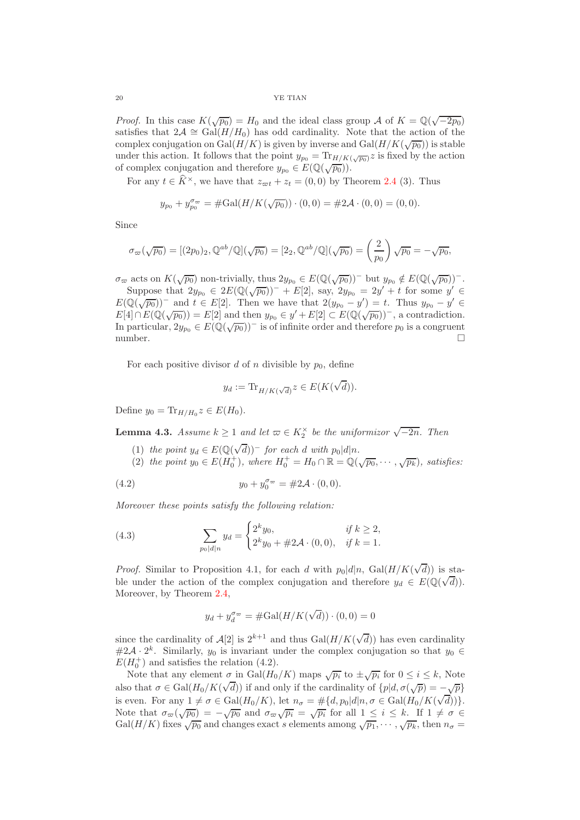*Proof.* In this case  $K(\sqrt{p_0}) = H_0$  and the ideal class group A of  $K = \mathbb{Q}(\sqrt{-2p_0})$ satisfies that  $2\mathcal{A} \cong \text{Gal}(H/H_0)$  has odd cardinality. Note that the action of the complex conjugation on  $Gal(H/K)$  is given by inverse and  $Gal(H/K(\sqrt{p_0}))$  is stable under this action. It follows that the point  $y_{p_0} = \text{Tr}_{H/K(\sqrt{p_0})} z$  is fixed by the action of complex conjugation and therefore  $y_{p_0} \in E(\mathbb{Q}(\sqrt{p_0}))$ .

For any  $t \in \widehat{K}^{\times}$ , we have that  $z_{\varpi t} + z_t = (0,0)$  by Theorem [2.4](#page-7-0) (3). Thus

$$
y_{p_0} + y_{p_0}^{\sigma_{\infty}} = \#\text{Gal}(H/K(\sqrt{p_0})) \cdot (0,0) = \#2\mathcal{A} \cdot (0,0) = (0,0).
$$

Since

$$
\sigma_{\varpi}(\sqrt{p_0}) = [(2p_0)_2, \mathbb{Q}^{ab}/\mathbb{Q}](\sqrt{p_0}) = [2_2, \mathbb{Q}^{ab}/\mathbb{Q}](\sqrt{p_0}) = \left(\frac{2}{p_0}\right)\sqrt{p_0} = -\sqrt{p_0},
$$

 $\sigma_{\varpi}$  acts on  $K(\sqrt{p_0})$  non-trivially, thus  $2y_{p_0} \in E(\mathbb{Q}(\sqrt{p_0}))^-$  but  $y_{p_0} \notin E(\mathbb{Q}(\sqrt{p_0}))^-$ . Suppose that  $2y_{p_0} \in 2E(\mathbb{Q}(\sqrt{p_0}))^- + E[2]$ , say,  $2y_{p_0} = 2y' + t$  for some  $y' \in$  $E(\mathbb{Q}(\sqrt{p_0}))^-$  and  $t \in E[2]$ . Then we have that  $2(y_{p_0} - y') = t$ . Thus  $y_{p_0} - y' \in$  $E[4] \cap E(\mathbb{Q}(\sqrt{p_0})) = E[2]$  and then  $y_{p_0} \in y' + E[2] \subset E(\mathbb{Q}(\sqrt{p_0}))$ , a contradiction. In particular,  $2y_{p_0} \in E(\mathbb{Q}(\sqrt{p_0}))^-$  is of infinite order and therefore  $p_0$  is a congruent number.  $\square$ 

For each positive divisor  $d$  of  $n$  divisible by  $p_0$ , define

$$
y_d := \text{Tr}_{H/K(\sqrt{d})} z \in E(K(\sqrt{d})).
$$

Define  $y_0 = \text{Tr}_{H/H_0} z \in E(H_0)$ .

**Lemma 4.3.** *Assume*  $k \geq 1$  *and let*  $\varpi \in K_2^{\times}$  *be the uniformizor*  $\sqrt{-2n}$ *. Then* 

(1) *the point*  $y_d \in E(\mathbb{Q}(\sqrt{d}))^-$  *for each* d *with*  $p_0|d|n$ .

(2) the point  $y_0 \in E(H_0^+),$  where  $H_0^+ = H_0 \cap \mathbb{R} = \mathbb{Q}(\sqrt{p_0}, \dots, \sqrt{p_k}),$  satisfies:

(4.2) 
$$
y_0 + y_0^{\sigma_{\varpi}} = \#2\mathcal{A} \cdot (0,0).
$$

*Moreover these points satisfy the following relation:*

(4.3) 
$$
\sum_{p_0|d|n} y_d = \begin{cases} 2^k y_0, & \text{if } k \ge 2, \\ 2^k y_0 + \# 2\mathcal{A} \cdot (0,0), & \text{if } k = 1. \end{cases}
$$

*Proof.* Similar to Proposition 4.1, for each d with  $p_0|d|n$ , Gal $(H/K(\sqrt{d}))$  is stable under the action of the complex conjugation and therefore  $y_d \in E(\mathbb{Q}(\sqrt{d}))$ . Moreover, by Theorem [2.4,](#page-7-0)

$$
y_d + y_d^{\sigma_{\varpi}} = \#\mathrm{Gal}(H/K(\sqrt{d})) \cdot (0,0) = 0
$$

since the cardinality of  $\mathcal{A}[2]$  is  $2^{k+1}$  and thus  $Gal(H/K(\sqrt{d}))$  has even cardinality  $#2\mathcal{A} \cdot 2^k$ . Similarly,  $y_0$  is invariant under the complex conjugation so that  $y_0 \in$  $E(H_0^+)$  and satisfies the relation (4.2).

Note that any element  $\sigma$  in Gal $(H_0/K)$  maps  $\sqrt{p_i}$  to  $\pm \sqrt{p_i}$  for  $0 \leq i \leq k$ , Note also that  $\sigma \in \text{Gal}(H_0/K(\sqrt{d}))$  if and only if the cardinality of  $\{\rho | d, \sigma(\sqrt{p}) = -\sqrt{p}\}\$ is even. For any  $1 \neq \sigma \in \text{Gal}(H_0/K)$ , let  $n_\sigma = \#\{d, p_0 | d | n, \sigma \in \text{Gal}(H_0/K(\sqrt{d}))\}.$ Note that  $\sigma_{\varpi}(\sqrt{p_0}) = -\sqrt{p_0}$  and  $\sigma_{\varpi}\sqrt{p_i} = \sqrt{p_i}$  for all  $1 \leq i \leq k$ . If  $1 \neq \sigma \in$  $Gal(H/K)$  fixes  $\sqrt{p_0}$  and changes exact s elements among  $\sqrt{p_1}, \cdots, \sqrt{p_k}$ , then  $n_{\sigma} =$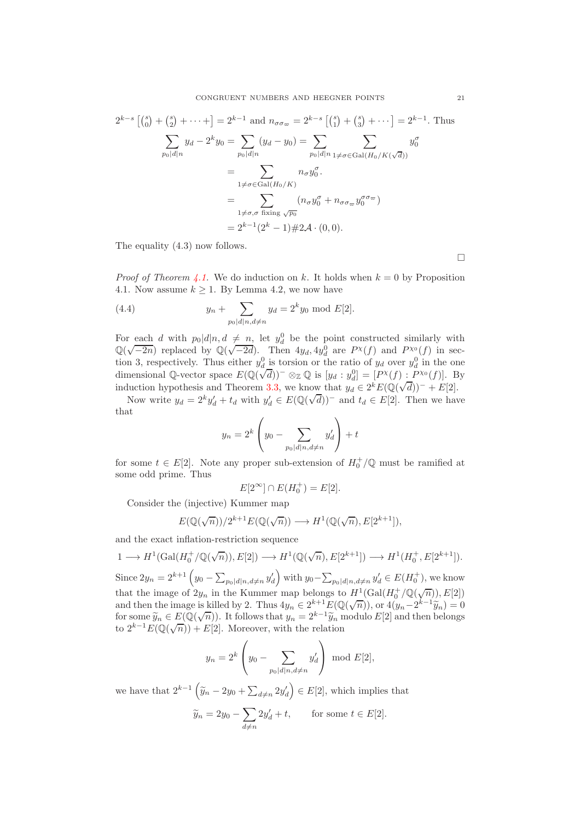$$
2^{k-s} \left[ \binom{s}{0} + \binom{s}{2} + \dots + \right] = 2^{k-1} \text{ and } n_{\sigma \sigma_{\varpi}} = 2^{k-s} \left[ \binom{s}{1} + \binom{s}{3} + \dots \right] = 2^{k-1}. \text{ Thus}
$$
  

$$
\sum_{p_0|d|n} y_d - 2^k y_0 = \sum_{p_0|d|n} (y_d - y_0) = \sum_{p_0|d|n} \sum_{1 \neq \sigma \in \text{Gal}(H_0/K(\sqrt{d}))} y_0^{\sigma}
$$
  

$$
= \sum_{1 \neq \sigma \in \text{Gal}(H_0/K)} n_{\sigma} y_0^{\sigma}.
$$
  

$$
= \sum_{1 \neq \sigma, \sigma \text{ fixing } \sqrt{p_0}} (n_{\sigma} y_0^{\sigma} + n_{\sigma \sigma_{\varpi}} y_0^{\sigma \sigma_{\varpi}})
$$
  

$$
= 2^{k-1} (2^k - 1) \# 2\mathcal{A} \cdot (0, 0).
$$

The equality (4.3) now follows.

*Proof of Theorem [4.1.](#page-18-2)* We do induction on k. It holds when  $k = 0$  by Proposition 4.1. Now assume  $k \geq 1$ . By Lemma 4.2, we now have

(4.4) 
$$
y_n + \sum_{p_0 | d|n, d \neq n} y_d = 2^k y_0 \text{ mod } E[2].
$$

For each d with  $p_0|d|n, d \neq n$ , let  $y_d^0$  be the point constructed similarly with  $\mathbb{Q}(\sqrt{-2n})$  replaced by  $\mathbb{Q}(\sqrt{-2d})$ . Then  $4y_d, 4y_d^0$  are  $P^{\chi}(f)$  and  $P^{\chi_0}(f)$  in section 3, respectively. Thus either  $y_d^0$  is torsion or the ratio of  $y_d$  over  $y_d^0$  in the one dimensional Q-vector space  $E(\mathbb{Q}(\sqrt{d}))^- \otimes_{\mathbb{Z}} \mathbb{Q}$  is  $[y_d : y_d^0] = [P^{\chi}(f) : P^{\chi_0}(f)]$ . By induction hypothesis and Theorem [3.3,](#page-13-0) we know that  $y_d \in 2^k E(\mathbb{Q}(\sqrt{d}))^- + E[2]$ .

Now write  $y_d = 2^k y'_d + t_d$  with  $y'_d \in E(\mathbb{Q}(\sqrt{d}))^-$  and  $t_d \in E[2]$ . Then we have that

$$
y_n = 2^k \left( y_0 - \sum_{p_0 | d|n, d \neq n} y'_d \right) + t
$$

for some  $t \in E[2]$ . Note any proper sub-extension of  $H_0^+/\mathbb{Q}$  must be ramified at some odd prime. Thus

$$
E[2^{\infty}] \cap E(H_0^+) = E[2].
$$

Consider the (injective) Kummer map

$$
E(\mathbb{Q}(\sqrt{n}))/2^{k+1}E(\mathbb{Q}(\sqrt{n})) \longrightarrow H^1(\mathbb{Q}(\sqrt{n}), E[2^{k+1}]),
$$

and the exact inflation-restriction sequence

$$
1 \longrightarrow H^1(\text{Gal}(H_0^+\backslash\mathbb{Q}(\sqrt{n})), E[2]) \longrightarrow H^1(\mathbb{Q}(\sqrt{n}), E[2^{k+1}]) \longrightarrow H^1(H_0^+, E[2^{k+1}]).
$$

Since  $2y_n = 2^{k+1} \left( y_0 - \sum_{p_0 | d| n, d \neq n} y'_d \right)$  with  $y_0 - \sum_{p_0 | d| n, d \neq n} y'_d \in E(H_0^+)$ , we know that the image of  $2y_n$  in the Kummer map belongs to  $H^1(\text{Gal}(H_0^+/\mathbb{Q}(\sqrt{n})), E[2])$ and then the image is killed by 2. Thus  $4y_n \in 2^{k+1}E(\mathbb{Q}(\sqrt{n}))$ , or  $4(y_n-2^{k-1}\widetilde{y}_n) = 0$ for some  $\widetilde{y}_n \in E(\mathbb{Q}(\sqrt{n}))$ . It follows that  $y_n = 2^{k-1} \widetilde{y}_n$  modulo  $E[2]$  and then belongs to  $2^{k-1}E(\mathbb{Q}(\sqrt{n})) + E[2]$ . Moreover, with the relation

$$
y_n = 2^k \left( y_0 - \sum_{p_0 | d|n, d \neq n} y'_d \right) \bmod E[2],
$$

we have that  $2^{k-1} \left( \tilde{y}_n - 2y_0 + \sum_{d \neq n} 2y'_d \right) \in E[2]$ , which implies that

$$
\widetilde{y}_n = 2y_0 - \sum_{d \neq n} 2y'_d + t
$$
, for some  $t \in E[2]$ .

 $\Box$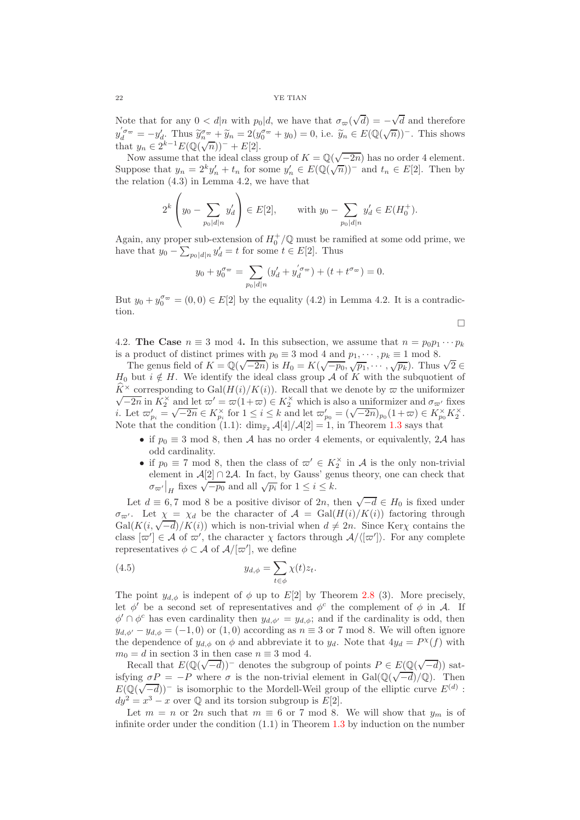Note that for any  $0 < d|n$  with  $p_0|d$ , we have that  $\sigma_{\varpi}(\sqrt{d}) = -\sqrt{d}$  and therefore  $y_d^{'\sigma_{\varpi}} = -y_d'$ . Thus  $\widetilde{y}_n^{\sigma_{\varpi}} + \widetilde{y}_n = 2(y_0^{\sigma_{\varpi}} + y_0) = 0$ , i.e.  $\widetilde{y}_n \in E(\mathbb{Q}(\sqrt{n}))^-$ . This shows that  $y_n \in 2^{k-1} E(\mathbb{Q}(\sqrt{n}))^- + E[2]$ .

Now assume that the ideal class group of  $K = \mathbb{Q}(\sqrt{-2n})$  has no order 4 element. Suppose that  $y_n = 2^k y'_n + t_n$  for some  $y'_n \in E(\mathbb{Q}(\sqrt{n}))^-$  and  $t_n \in E[2]$ . Then by the relation (4.3) in Lemma 4.2, we have that

$$
2^{k} \left(y_0 - \sum_{p_0 | d|n} y'_d\right) \in E[2], \quad \text{with } y_0 - \sum_{p_0 | d|n} y'_d \in E(H_0^+).
$$

Again, any proper sub-extension of  $H_0^+/\mathbb{Q}$  must be ramified at some odd prime, we have that  $y_0 - \sum_{p_0|d|n} y'_d = t$  for some  $t \in E[2]$ . Thus

$$
y_0 + y_0^{\sigma_{\varpi}} = \sum_{p_0 | d|n} (y'_d + y_d^{\sigma_{\varpi}}) + (t + t^{\sigma_{\varpi}}) = 0.
$$

But  $y_0 + y_0^{\sigma_{\infty}} = (0, 0) \in E[2]$  by the equality  $(4.2)$  in Lemma 4.2. It is a contradiction.

 $\Box$ 

<span id="page-21-0"></span>4.2. The Case  $n \equiv 3 \mod 4$ . In this subsection, we assume that  $n = p_0 p_1 \cdots p_k$ is a product of distinct primes with  $p_0 \equiv 3 \mod 4$  and  $p_1, \dots, p_k \equiv 1 \mod 8$ .

The genus field of  $K = \mathbb{Q}(\sqrt{-2n})$  is  $H_0 = K(\sqrt{-p_0}, \sqrt{p_1}, \cdots, \sqrt{p_k})$ . Thus  $\sqrt{2} \in$  $H_0$  but  $i \notin H$ . We identify the ideal class group A of K with the subquotient of  $\hat{K}^{\times}$  corresponding to Gal $(H(i)/K(i))$ . Recall that we denote by  $\varpi$  the uniformizer  $\sqrt{-2n}$  in  $K_2^{\times}$  and let  $\varpi' = \varpi(1+\varpi) \in K_2^{\times}$  which is also a uniformizer and  $\sigma_{\varpi'}$  fixes i. Let  $\varpi'_{p_i} = \sqrt{-2n} \in K_{p_i}^{\times}$  for  $1 \leq i \leq k$  and let  $\varpi'_{p_0} = (\sqrt{-2n})_{p_0} (1 + \varpi) \in K_{p_0}^{\times} K_2^{\times}$ . Note that the condition (1.1):  $\dim_{\mathbb{F}_2} \mathcal{A}[4]/\mathcal{A}[2] = 1$ , in Theorem [1.3](#page-1-0) says that

- if  $p_0 \equiv 3 \mod 8$ , then A has no order 4 elements, or equivalently, 2A has odd cardinality.
- if  $p_0 \equiv 7 \mod 8$ , then the class of  $\varpi' \in K_2^{\times}$  in A is the only non-trivial element in  $\mathcal{A}[2] \cap 2\mathcal{A}$ . In fact, by Gauss' genus theory, one can check that  $\sigma_{\varpi'}|_{H}$  fixes  $\sqrt{-p_0}$  and all  $\sqrt{p_i}$  for  $1 \leq i \leq k$ .

Let  $d \equiv 6, 7 \mod 8$  be a positive divisor of  $2n$ , then  $\sqrt{-d} \in H_0$  is fixed under  $\sigma_{\varpi'}$ . Let  $\chi = \chi_d$  be the character of  $\mathcal{A} = \text{Gal}(H(i)/K(i))$  factoring through Gal( $K(i, \sqrt{-d})/K(i)$ ) which is non-trivial when  $d \neq 2n$ . Since Kerx contains the class  $[\varpi'] \in \mathcal{A}$  of  $\varpi'$ , the character  $\chi$  factors through  $\mathcal{A}/\langle [\varpi'] \rangle$ . For any complete representatives  $\phi \subset \mathcal{A}$  of  $\mathcal{A}/[\varpi']$ , we define

(4.5) 
$$
y_{d,\phi} = \sum_{t \in \phi} \chi(t) z_t.
$$

The point  $y_{d,\phi}$  is indepent of  $\phi$  up to E[2] by Theorem [2.8](#page-10-0) (3). More precisely, let  $\phi'$  be a second set of representatives and  $\phi^c$  the complement of  $\phi$  in A. If  $\phi' \cap \phi^c$  has even cardinality then  $y_{d,\phi'} = y_{d,\phi}$ ; and if the cardinality is odd, then  $y_{d,\phi'} - y_{d,\phi} = (-1,0)$  or  $(1,0)$  according as  $n \equiv 3$  or 7 mod 8. We will often ignore the dependence of  $y_{d,\phi}$  on  $\phi$  and abbreviate it to  $y_d$ . Note that  $4y_d = P^{\chi}(f)$  with  $m_0 = d$  in section 3 in then case  $n \equiv 3 \mod 4$ .

Recall that  $E(\mathbb{Q}(\sqrt{-d}))^-$  denotes the subgroup of points  $P \in E(\mathbb{Q}(\sqrt{-d}))$  satisfying  $\sigma P = -P$  where  $\sigma$  is the non-trivial element in Gal( $\mathbb{Q}(\sqrt{-d})/\mathbb{Q}$ ). Then  $E(\mathbb{Q}(\sqrt{-d}))^-$  is isomorphic to the Mordell-Weil group of the elliptic curve  $E^{(d)}$ :  $dy^2 = x^3 - x$  over Q and its torsion subgroup is  $E[2]$ .

Let  $m = n$  or 2n such that  $m \equiv 6$  or 7 mod 8. We will show that  $y_m$  is of infinite order under the condition  $(1.1)$  in Theorem [1.3](#page-1-0) by induction on the number

 $\overline{1}$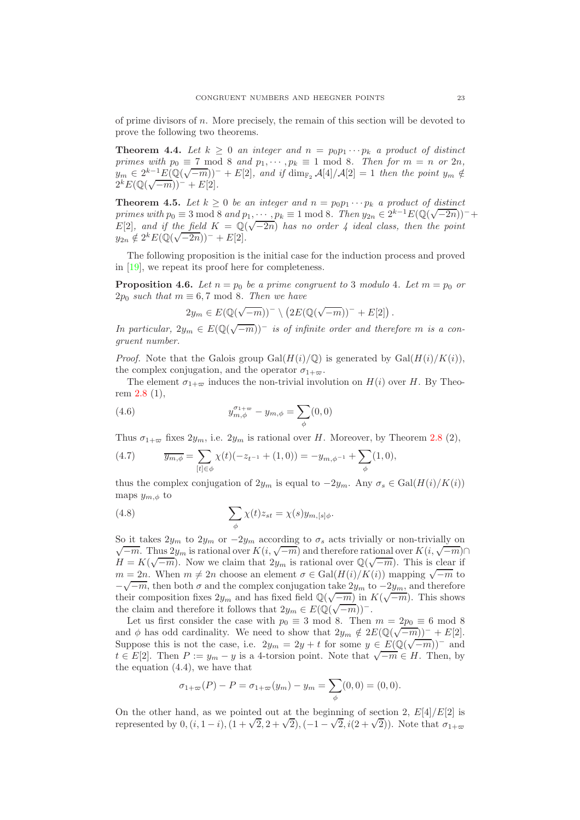of prime divisors of n. More precisely, the remain of this section will be devoted to prove the following two theorems.

<span id="page-22-0"></span>**Theorem 4.4.** Let  $k \geq 0$  an integer and  $n = p_0 p_1 \cdots p_k$  a product of distinct *primes with*  $p_0 \equiv 7 \mod 8$  *and*  $p_1, \cdots, p_k \equiv 1 \mod 8$ *. Then for*  $m = n$  *or* 2*n*,  $y_m \in 2^{k-1} E(\mathbb{Q}(\sqrt{-m}))^- + E[2]$ , and if  $\dim_{\mathbb{F}_2} \mathcal{A}[4]/\mathcal{A}[2] = 1$  then the point  $y_m \notin$  $2^k E(\mathbb{Q}(\sqrt{-m}))^- + E[2].$ 

<span id="page-22-1"></span>**Theorem 4.5.** Let  $k \geq 0$  be an integer and  $n = p_0 p_1 \cdots p_k$  a product of distinct *primes with*  $p_0 \equiv 3 \mod 8$  *and*  $p_1, \cdots, p_k \equiv 1 \mod 8$ . Then  $y_{2n} \in 2^{k-1}E(\mathbb{Q}(\sqrt{-2n}))^-$ +  $E[2]$ , and if the field  $K = \mathbb{Q}(\sqrt{-2n})$  has no order 4 ideal class, then the point  $y_{2n} \notin 2^k E(\mathbb{Q}(\sqrt{-2n}))^- + E[2].$ 

The following proposition is the initial case for the induction process and proved in [\[19\]](#page-29-2), we repeat its proof here for completeness.

<span id="page-22-2"></span>**Proposition 4.6.** Let  $n = p_0$  be a prime congruent to 3 modulo 4. Let  $m = p_0$  or  $2p_0$  *such that*  $m \equiv 6, 7 \mod 8$ *. Then we have* 

$$
2y_m \in E(\mathbb{Q}(\sqrt{-m}))^- \setminus (2E(\mathbb{Q}(\sqrt{-m}))^- + E[2]).
$$

*In particular,*  $2y_m \in E(\mathbb{Q}(\sqrt{-m}))^-$  *is of infinite order and therefore m is a congruent number.*

*Proof.* Note that the Galois group  $Gal(H(i)/\mathbb{Q})$  is generated by  $Gal(H(i)/K(i))$ , the complex conjugation, and the operator  $\sigma_{1+\varpi}$ .

The element  $\sigma_{1+\varpi}$  induces the non-trivial involution on  $H(i)$  over H. By Theorem [2.8](#page-10-0) (1),

(4.6) 
$$
y_{m,\phi}^{\sigma_{1+\varpi}} - y_{m,\phi} = \sum_{\phi} (0,0)
$$

Thus  $\sigma_{1+\infty}$  fixes  $2y_m$ , i.e.  $2y_m$  is rational over H. Moreover, by Theorem [2.8](#page-10-0) (2),

(4.7) 
$$
\overline{y_{m,\phi}} = \sum_{[t] \in \phi} \chi(t) (-z_{t-1} + (1,0)) = -y_{m,\phi^{-1}} + \sum_{\phi} (1,0),
$$

thus the complex conjugation of  $2y_m$  is equal to  $-2y_m$ . Any  $\sigma_s \in \text{Gal}(H(i)/K(i))$ maps  $y_{m,\phi}$  to

(4.8) 
$$
\sum_{\phi} \chi(t) z_{st} = \chi(s) y_{m,[s]\phi}.
$$

So it takes  $2y_m$  to  $2y_m$  or  $-2y_m$  according to  $\sigma_s$  acts trivially or non-trivially on  $\sqrt{-m}$ . Thus  $2y_m$  is rational over  $K(i, \sqrt{-m})$  and therefore rational over  $K(i, \sqrt{-m})$  $H = K(\sqrt{-m})$ . Now we claim that  $2y_m$  is rational over  $\mathbb{Q}(\sqrt{-m})$ . This is clear if  $m = 2n$ . When  $m \neq 2n$  choose an element  $\sigma \in \text{Gal}(H(i)/K(i))$  mapping  $\sqrt{-m}$  to  $-\sqrt{-m}$ , then both  $\sigma$  and the complex conjugation take  $2y_m$  to  $-2y_m$ , and therefore their composition fixes  $2y_m$  and has fixed field  $\mathbb{Q}(\sqrt{-m})$  in  $K(\sqrt{-m})$ . This shows the claim and therefore it follows that  $2y_m \in E(\mathbb{Q}(\sqrt{-m}))^-$ .

Let us first consider the case with  $p_0 \equiv 3 \mod 8$ . Then  $m = 2p_0 \equiv 6 \mod 8$ and  $\phi$  has odd cardinality. We need to show that  $2y_m \notin 2E(\mathbb{Q}(\sqrt{-m}))^- + E[2]$ . Suppose this is not the case, i.e.  $2y_m = 2y + t$  for some  $y \in E(\mathbb{Q}(\sqrt{-m}))^-$  and  $t \in E[2]$ . Then  $P := y_m - y$  is a 4-torsion point. Note that  $\sqrt{-m} \in H$ . Then, by the equation (4.4), we have that

$$
\sigma_{1+\varpi}(P) - P = \sigma_{1+\varpi}(y_m) - y_m = \sum_{\phi}(0,0) = (0,0).
$$

On the other hand, as we pointed out at the beginning of section 2,  $E[4]/E[2]$  is represented by  $0, (i, 1-i), (1+\sqrt{2}, 2+\sqrt{2}), (-1-\sqrt{2}, i(2+\sqrt{2}))$ . Note that  $\sigma_{1+\infty}$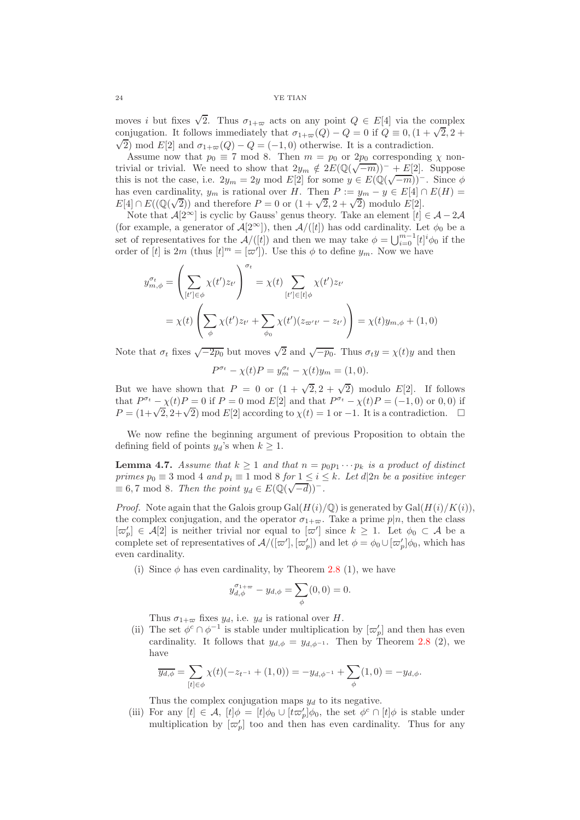moves i but fixes  $\sqrt{2}$ . Thus  $\sigma_{1+\infty}$  acts on any point  $Q \in E[4]$  via the complex conjugation. It follows immediately that  $\sigma_{1+\infty}(Q) - Q = 0$  if  $Q = 0$ ,  $(1 + \sqrt{2}, 2 + \sqrt{2})$  $\sqrt{2}$ ) mod E[2] and  $\sigma_{1+\infty}(Q) - Q = (-1,0)$  otherwise. It is a contradiction.

Assume now that  $p_0 \equiv 7 \mod 8$ . Then  $m = p_0$  or  $2p_0$  corresponding  $\chi$  nontrivial or trivial. We need to show that  $2y_m \notin 2E(\mathbb{Q}(\sqrt{-m}))^- + E[2]$ . Suppose this is not the case, i.e.  $2y_m = 2y \mod E[2]$  for some  $y \in E(\mathbb{Q}(\sqrt{-m}))^-$ . Since  $\phi$ has even cardinality,  $y_m$  is rational over H. Then  $P := y_m - y \in E[4] \cap E(H) =$  $E[4] \cap E((\mathbb{Q}(\sqrt{2}))$  and therefore  $P = 0$  or  $(1 + \sqrt{2}, 2 + \sqrt{2})$  modulo  $E[2]$ .

Note that  $\mathcal{A}[2^{\infty}]$  is cyclic by Gauss' genus theory. Take an element  $[t] \in \mathcal{A} - 2\mathcal{A}$ (for example, a generator of  $\mathcal{A}[2^{\infty}]$ ), then  $\mathcal{A}/([t])$  has odd cardinality. Let  $\phi_0$  be a set of representatives for the  $\mathcal{A}/([t])$  and then we may take  $\phi = \bigcup_{i=0}^{m-1} [t]^i \phi_0$  if the order of [t] is  $2m$  (thus  $[t]^m = [\varpi']$ ). Use this  $\phi$  to define  $y_m$ . Now we have

$$
y_{m,\phi}^{\sigma_t} = \left(\sum_{[t'] \in \phi} \chi(t') z_{t'}\right)^{\sigma_t} = \chi(t) \sum_{[t'] \in [t]\phi} \chi(t') z_{t'}
$$

$$
= \chi(t) \left(\sum_{\phi} \chi(t') z_{t'} + \sum_{\phi_0} \chi(t') (z_{\varpi' t'} - z_{t'})\right) = \chi(t) y_{m,\phi} + (1,0)
$$

Note that  $\sigma_t$  fixes  $\sqrt{-2p_0}$  but moves  $\sqrt{2}$  and  $\sqrt{-p_0}$ . Thus  $\sigma_t y = \chi(t)y$  and then

$$
P^{\sigma_t} - \chi(t)P = y_m^{\sigma_t} - \chi(t)y_m = (1, 0).
$$

But we have shown that  $P = 0$  or  $(1 + \sqrt{2}, 2 + \sqrt{2})$  modulo E[2]. If follows that  $P^{\sigma_t} - \chi(t)P = 0$  if  $P = 0$  mod  $E[2]$  and that  $P^{\sigma_t} - \chi(t)P = (-1,0)$  or 0,0) if  $P = (1 + \sqrt{2}, 2 + \sqrt{2}) \mod E[2]$  according to  $\chi(t) = 1$  or  $-1$ . It is a contradiction.  $\Box$ 

We now refine the beginning argument of previous Proposition to obtain the defining field of points  $y_d$ 's when  $k \geq 1$ .

**Lemma 4.7.** *Assume that*  $k \ge 1$  *and that*  $n = p_0 p_1 \cdots p_k$  *is a product of distinct primes*  $p_0 \equiv 3 \mod 4$  *and*  $p_i \equiv 1 \mod 8$  *for*  $1 \leq i \leq k$ *. Let*  $d|2n$  *be a positive integer*  $\equiv 6,7 \mod 8$ . Then the point  $y_d \in E(\mathbb{Q}(\sqrt{-d}))$ <sup>-</sup>.

*Proof.* Note again that the Galois group  $Gal(H(i)/\mathbb{Q})$  is generated by  $Gal(H(i)/K(i))$ , the complex conjugation, and the operator  $\sigma_{1+\varpi}$ . Take a prime  $p|n$ , then the class  $[\varpi'_p] \in \mathcal{A}[2]$  is neither trivial nor equal to  $[\varpi']$  since  $k \geq 1$ . Let  $\phi_0 \subset \mathcal{A}$  be a complete set of representatives of  $\mathcal{A}/([\varpi'], [\varpi'_p])$  and let  $\phi = \phi_0 \cup [\varpi'_p] \phi_0$ , which has even cardinality.

(i) Since  $\phi$  has even cardinality, by Theorem [2.8](#page-10-0) (1), we have

$$
y_{d,\phi}^{\sigma_{1+\varpi}} - y_{d,\phi} = \sum_{\phi} (0,0) = 0.
$$

Thus  $\sigma_{1+\varpi}$  fixes  $y_d$ , i.e.  $y_d$  is rational over H.

(ii) The set  $\phi^c \cap \phi^{-1}$  is stable under multiplication by  $[\varpi_p']$  and then has even cardinality. It follows that  $y_{d,\phi} = y_{d,\phi^{-1}}$ . Then by Theorem [2.8](#page-10-0) (2), we have

$$
\overline{y_{d,\phi}} = \sum_{[t] \in \phi} \chi(t) (-z_{t^{-1}} + (1,0)) = -y_{d,\phi^{-1}} + \sum_{\phi} (1,0) = -y_{d,\phi}.
$$

Thus the complex conjugation maps  $y_d$  to its negative.

(iii) For any  $[t] \in \mathcal{A}$ ,  $[t]\phi = [t]\phi_0 \cup [t\varpi'_p]\phi_0$ , the set  $\phi^c \cap [t]\phi$  is stable under multiplication by  $[\varpi'_p]$  too and then has even cardinality. Thus for any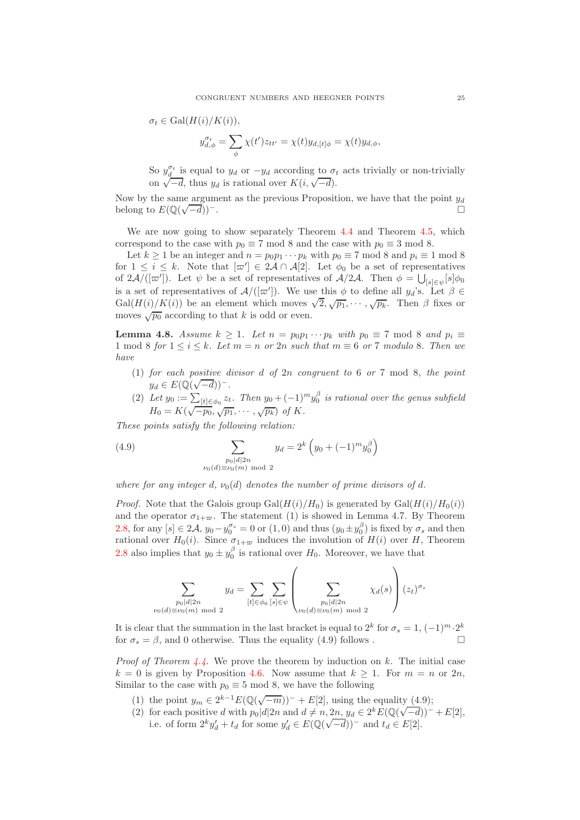$$
\sigma_t \in \text{Gal}(H(i)/K(i)),
$$
  

$$
y_{d,\phi}^{\sigma_t} = \sum_{\phi} \chi(t') z_{tt'} = \chi(t) y_{d,[t]\phi} = \chi(t) y_{d,\phi},
$$

So  $y_d^{\sigma_t}$  is equal to  $y_d$  or  $-y_d$  according to  $\sigma_t$  acts trivially or non-trivially on  $\sqrt{-d}$ , thus  $y_d$  is rational over  $K(i, \sqrt{-d})$ .

Now by the same argument as the previous Proposition, we have that the point  $y_d$ belong to  $E(\mathbb{Q}(\sqrt{\frac{n}{n}}))$  $\overline{-d})$ )<sup>-</sup>.

We are now going to show separately Theorem [4.4](#page-22-0) and Theorem [4.5,](#page-22-1) which correspond to the case with  $p_0 \equiv 7 \mod 8$  and the case with  $p_0 \equiv 3 \mod 8$ .

Let  $k \ge 1$  be an integer and  $n = p_0 p_1 \cdots p_k$  with  $p_0 \equiv 7 \mod 8$  and  $p_i \equiv 1 \mod 8$ for  $1 \leq i \leq k$ . Note that  $[\varpi'] \in 2\mathcal{A} \cap \mathcal{A}[2]$ . Let  $\phi_0$  be a set of representatives of  $2\mathcal{A}/([\varpi'])$ . Let  $\psi$  be a set of representatives of  $\mathcal{A}/2\mathcal{A}$ . Then  $\phi = \bigcup_{[s]\in\psi}[s]\phi_0$ is a set of representatives of  $\mathcal{A}/([\varpi'])$ . We use this  $\phi$  to define all  $y_d$ 's. Let  $\beta \in$ Gal $(H(i)/K(i))$  be an element which moves  $\sqrt{2}, \sqrt{p_1}, \cdots, \sqrt{p_k}$ . Then  $\beta$  fixes or moves  $\sqrt{p_0}$  according to that k is odd or even.

**Lemma 4.8.** *Assume*  $k \geq 1$ *. Let*  $n = p_0p_1 \cdots p_k$  *with*  $p_0 \equiv 7 \mod 8$  *and*  $p_i \equiv$ 1 mod 8 *for*  $1 \le i \le k$ *. Let*  $m = n$  *or* 2*n such that*  $m \equiv 6$  *or* 7 *modulo* 8*. Then we have*

- (1) *for each positive divisor* d *of* 2n *congruent to* 6 *or* 7 mod 8*, the point*  $y_d \in E(\mathbb{Q}(\sqrt{-d}))^-$ .
- (2) Let  $y_0 := \sum_{[t] \in \phi_0} z_t$ . Then  $y_0 + (-1)^m y_0^{\beta}$  is rational over the genus subfield  $H_0 = K(\sqrt{-p_0}, \sqrt{p_1}, \cdots, \sqrt{p_k})$  *of* K.

*These points satisfy the following relation:*

(4.9) 
$$
\sum_{\substack{p_0|d|2n \ \nu_0(m) \bmod 2}} y_d = 2^k \left( y_0 + (-1)^m y_0^{\beta} \right)
$$

*where for any integer* d,  $\nu_0(d)$  denotes the number of prime divisors of d.

*Proof.* Note that the Galois group  $Gal(H(i)/H_0)$  is generated by  $Gal(H(i)/H_0(i))$ and the operator  $\sigma_{1+\varpi}$ . The statement (1) is showed in Lemma 4.7. By Theorem [2.8,](#page-10-0) for any  $[s] \in 2\mathcal{A}, y_0 - y_0^{\sigma_s} = 0$  or  $(1,0)$  and thus  $(y_0 \pm y_0^{\beta})$  is fixed by  $\sigma_s$  and then rational over  $H_0(i)$ . Since  $\sigma_{1+\infty}$  induces the involution of  $H(i)$  over H, Theorem [2.8](#page-10-0) also implies that  $y_0 \pm y_0^{\beta}$  is rational over  $H_0$ . Moreover, we have that

$$
\sum_{\substack{p_0|d|2n \ p_0(d)\equiv\nu_0(m) \bmod 2}} y_d = \sum_{[t]\in\phi_0} \sum_{[s]\in\psi} \left(\sum_{\substack{p_0|d|2n \ p_0(d)\equiv\nu_0(m) \bmod 2}} \chi_d(s)\right) (z_t)^{\sigma_s}
$$

It is clear that the summation in the last bracket is equal to  $2^k$  for  $\sigma_s = 1, (-1)^m \cdot 2^k$ for  $\sigma_s = \beta$ , and 0 otherwise. Thus the equality (4.9) follows .

*Proof of Theorem [4.4.](#page-22-0)* We prove the theorem by induction on k. The initial case  $k = 0$  is given by Proposition [4.6.](#page-22-2) Now assume that  $k > 1$ . For  $m = n$  or  $2n$ , Similar to the case with  $p_0 \equiv 5 \mod 8$ , we have the following

- (1) the point  $y_m \in 2^{k-1} E(\mathbb{Q}(\sqrt{-m}))^- + E[2]$ , using the equality (4.9);
- (2) for each positive d with  $p_0|d|2n$  and  $d \neq n, 2n, y_d \in 2^k E(\mathbb{Q}(\sqrt{-d}))^- + E[2]$ , i.e. of form  $2^k y_d' + t_d$  for some  $y_d' \in E(\mathbb{Q}(\sqrt{-d}))^-$  and  $t_d \in E[2]$ .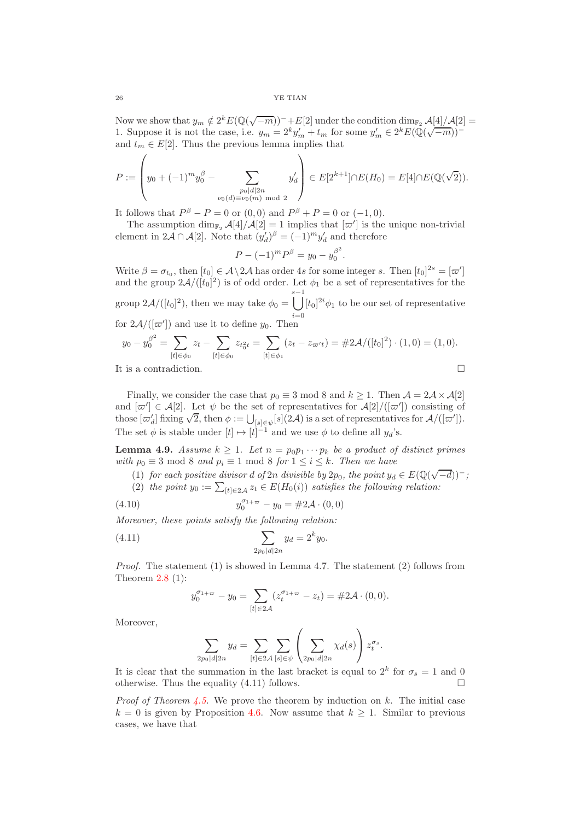Now we show that  $y_m \notin 2^k E(\mathbb{Q}(\sqrt{-m}))^- + E[2]$  under the condition  $\dim_{\mathbb{F}_2} \mathcal{A}[4]/\mathcal{A}[2] =$ 1. Suppose it is not the case, i.e.  $y_m = 2^k y'_m + t_m$  for some  $y'_m \in 2^k E(\mathbb{Q}(\sqrt{-m}))^{-1}$ and  $t_m \in E[2]$ . Thus the previous lemma implies that

$$
P := \left(y_0 + (-1)^m y_0^{\beta} - \sum_{\substack{p_0 | d | 2n \\ \nu_0(d) \equiv \nu_0(m) \bmod 2}} y'_d\right) \in E[2^{k+1}] \cap E(H_0) = E[4] \cap E(\mathbb{Q}(\sqrt{2})).
$$

It follows that  $P^{\beta} - P = 0$  or  $(0, 0)$  and  $P^{\beta} + P = 0$  or  $(-1, 0)$ .

The assumption  $\dim_{\mathbb{F}_2} \mathcal{A}[4]/\mathcal{A}[2] = 1$  implies that  $[\varpi']$  is the unique non-trivial element in  $2\mathcal{A} \cap \mathcal{A}[2]$ . Note that  $(y'_d)^{\beta} = (-1)^m y'_d$  and therefore

$$
P - (-1)^m P^{\beta} = y_0 - y_0^{\beta^2}.
$$

Write  $\beta = \sigma_{t_0}$ , then  $[t_0] \in \mathcal{A} \setminus 2\mathcal{A}$  has order 4s for some integer s. Then  $[t_0]^{2s} = [\varpi']$ and the group  $2\mathcal{A}/([t_0]^2)$  is of odd order. Let  $\phi_1$  be a set of representatives for the group  $2\mathcal{A}/([t_0]^2)$ , then we may take  $\phi_0 = \bigcup^{s-1}$  $i=0$  $[t_0]^{2i}\phi_1$  to be our set of representative for  $2\mathcal{A}/([\varpi'])$  and use it to define  $y_0$ . Then

$$
y_0 - y_0^{\beta^2} = \sum_{[t] \in \phi_0} z_t - \sum_{[t] \in \phi_0} z_{t_0^2 t} = \sum_{[t] \in \phi_1} (z_t - z_{\varpi t}) = \#2\mathcal{A}/([t_0]^2) \cdot (1, 0) = (1, 0).
$$
  
It is a contradiction.

Finally, we consider the case that  $p_0 \equiv 3 \mod 8$  and  $k \ge 1$ . Then  $\mathcal{A} = 2\mathcal{A} \times \mathcal{A}[2]$ and  $[\varpi'] \in \mathcal{A}[2]$ . Let  $\psi$  be the set of representatives for  $\mathcal{A}[2]/([\varpi'])$  consisting of those  $[\varpi'_d]$  fixing  $\sqrt{2}$ , then  $\phi := \bigcup_{[s] \in \psi}[s](2\mathcal{A})$  is a set of representatives for  $\mathcal{A}/([\varpi'])$ . The set  $\phi$  is stable under  $[t] \mapsto [t]^{-1}$  and we use  $\phi$  to define all  $y_d$ 's.

**Lemma 4.9.** *Assume*  $k \geq 1$ *. Let*  $n = p_0p_1 \cdots p_k$  *be a product of distinct primes with*  $p_0 \equiv 3 \mod 8$  *and*  $p_i \equiv 1 \mod 8$  *for*  $1 \leq i \leq k$ *. Then we have* 

- (1) *for each positive divisor d of*  $2n$  *divisible by*  $2p_0$ *, the point*  $y_d \in E(\mathbb{Q}(\sqrt{-d}))^-$ *;*
- (2) the point  $y_0 := \sum_{[t] \in 2\mathcal{A}} z_t \in E(H_0(i))$  *satisfies the following relation:*  $\sigma_{1+\varpi}$

(4.10) 
$$
y_0^{\sigma_{1+\infty}} - y_0 = \#2\mathcal{A} \cdot (0,0)
$$

*Moreover, these points satisfy the following relation:*

(4.11) 
$$
\sum_{2p_0|d|2n} y_d = 2^k y_0.
$$

*Proof.* The statement (1) is showed in Lemma 4.7. The statement (2) follows from Theorem  $2.8$  (1):

$$
y_0^{\sigma_{1+\varpi}} - y_0 = \sum_{[t] \in 2\mathcal{A}} (z_t^{\sigma_{1+\varpi}} - z_t) = \#2\mathcal{A} \cdot (0,0).
$$

Moreover,

$$
\sum_{2p_0|d|2n} y_d = \sum_{[t]\in 2\mathcal{A}} \sum_{[s]\in\psi} \left( \sum_{2p_0|d|2n} \chi_d(s) \right) z_t^{\sigma_s}.
$$

It is clear that the summation in the last bracket is equal to  $2^k$  for  $\sigma_s = 1$  and 0 otherwise. Thus the equality  $(4.11)$  follows.

*Proof of Theorem [4.5.](#page-22-1)* We prove the theorem by induction on k. The initial case  $k = 0$  is given by Proposition [4.6.](#page-22-2) Now assume that  $k \geq 1$ . Similar to previous cases, we have that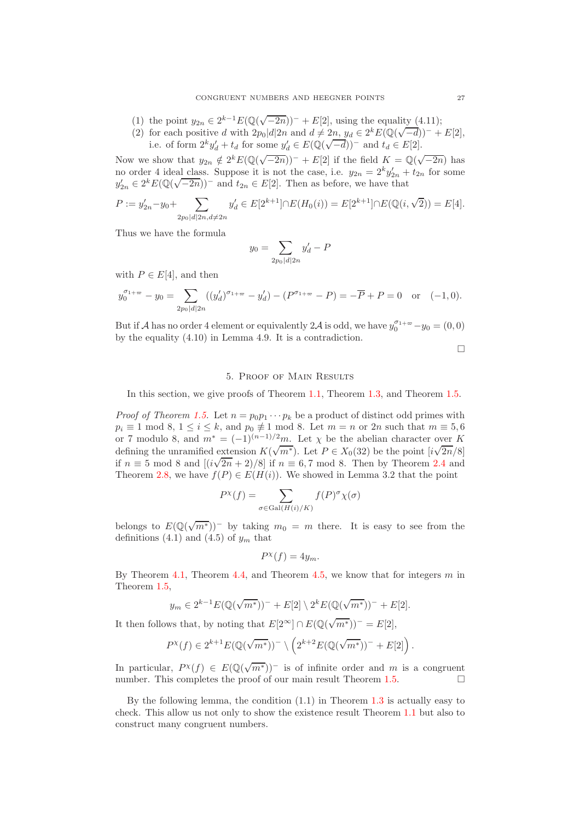- (1) the point  $y_{2n} \in 2^{k-1} E(\mathbb{Q}(\sqrt{-2n}))^- + E[2]$ , using the equality (4.11);
- (2) for each positive d with  $2p_0|d|2n$  and  $d \neq 2n$ ,  $y_d \in 2^k E(\mathbb{Q}(\sqrt{-d}))^- + E[2]$ , i.e. of form  $2^k y_d' + t_d$  for some  $y_d' \in E(\mathbb{Q}(\sqrt{-d}))^-$  and  $t_d \in E[2]$ .

Now we show that  $y_{2n} \notin 2^k E(\mathbb{Q}(\sqrt{-2n}))^- + E[2]$  if the field  $K = \mathbb{Q}(\sqrt{-2n})$  has no order 4 ideal class. Suppose it is not the case, i.e.  $y_{2n} = 2^k y'_{2n} + t_{2n}$  for some  $y'_{2n} \in 2^k E(\mathbb{Q}(\sqrt{-2n}))^-$  and  $t_{2n} \in E[2]$ . Then as before, we have that

$$
P:=y'_{2n}-y_0+\sum_{2p_0|d|2n, d\neq 2n}y'_d\in E[2^{k+1}]\cap E(H_0(i))=E[2^{k+1}]\cap E(\mathbb{Q}(i,\sqrt{2}))=E[4].
$$

Thus we have the formula

$$
y_0 = \sum_{2p_0 \mid d \mid 2n} y'_d - P
$$

with  $P \in E[4]$ , and then

$$
y_0^{\sigma_1+\omega} - y_0 = \sum_{2p_0|d|2n} ((y'_d)^{\sigma_1+\omega} - y'_d) - (P^{\sigma_1+\omega} - P) = -\overline{P} + P = 0 \text{ or } (-1,0).
$$

But if A has no order 4 element or equivalently 2A is odd, we have  $y_0^{\sigma_1 + \infty} - y_0 = (0, 0)$ by the equality (4.10) in Lemma 4.9. It is a contradiction.

 $\Box$ 

# 5. Proof of Main Results

<span id="page-26-0"></span>In this section, we give proofs of Theorem [1.1,](#page-0-1) Theorem [1.3,](#page-1-0) and Theorem [1.5.](#page-2-0)

*Proof of Theorem [1.5.](#page-2-0)* Let  $n = p_0 p_1 \cdots p_k$  be a product of distinct odd primes with  $p_i \equiv 1 \mod 8, 1 \leq i \leq k$ , and  $p_0 \not\equiv 1 \mod 8$ . Let  $m = n$  or  $2n$  such that  $m \equiv 5, 6$ or 7 modulo 8, and  $m^* = (-1)^{(n-1)/2}m$ . Let  $\chi$  be the abelian character over K defining the unramified extension  $K(\sqrt{m^*})$ . Let  $P \in X_0(32)$  be the point  $[i\sqrt{2n}/8]$ if  $n \equiv 5 \mod 8$  and  $[(i\sqrt{2n} + 2)/8]$  if  $n \equiv 6, 7 \mod 8$ . Then by Theorem [2.4](#page-7-0) and Theorem [2.8,](#page-10-0) we have  $f(P) \in E(H(i))$ . We showed in Lemma 3.2 that the point

$$
P^{\chi}(f) = \sum_{\sigma \in \text{Gal}(H(i)/K)} f(P)^{\sigma} \chi(\sigma)
$$

belongs to  $E(\mathbb{Q}(\sqrt{m^*}))$  by taking  $m_0 = m$  there. It is easy to see from the definitions (4.1) and (4.5) of  $y_m$  that

$$
P^{\chi}(f) = 4y_m.
$$

By Theorem [4.1,](#page-18-2) Theorem [4.4,](#page-22-0) and Theorem [4.5,](#page-22-1) we know that for integers  $m$  in Theorem [1.5,](#page-2-0)

$$
y_m \in 2^{k-1} E(\mathbb{Q}(\sqrt{m^*}))^- + E[2] \setminus 2^k E(\mathbb{Q}(\sqrt{m^*}))^- + E[2].
$$

It then follows that, by noting that  $E[2^{\infty}] \cap E(\mathbb{Q}(\sqrt{m^*}))^- = E[2]$ ,

$$
P^{\chi}(f) \in 2^{k+1} E(\mathbb{Q}(\sqrt{m^*}))^{-} \setminus \left(2^{k+2} E(\mathbb{Q}(\sqrt{m^*}))^{-} + E[2]\right).
$$

In particular,  $P^{\chi}(f) \in E(\mathbb{Q}(\sqrt{m^*}))$  is of infinite order and m is a congruent number. This completes the proof of our main result Theorem [1.5.](#page-2-0)  $\Box$ 

By the following lemma, the condition (1.1) in Theorem [1.3](#page-1-0) is actually easy to check. This allow us not only to show the existence result Theorem [1.1](#page-0-1) but also to construct many congruent numbers.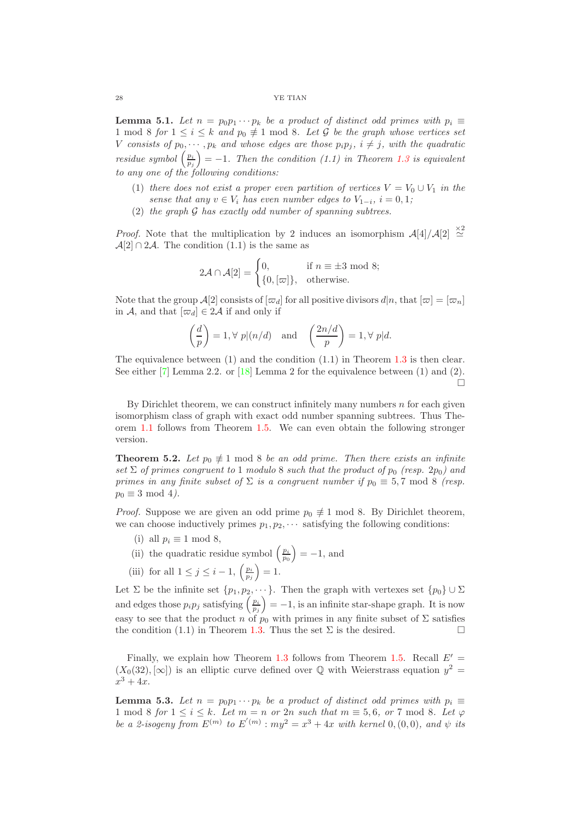**Lemma 5.1.** *Let*  $n = p_0p_1 \cdots p_k$  *be a product of distinct odd primes with*  $p_i \equiv$ 1 mod 8 *for*  $1 \le i \le k$  *and*  $p_0 \neq 1$  mod 8*. Let* G *be the graph whose vertices set* V consists of  $p_0, \dots, p_k$  and whose edges are those  $p_i p_j$ ,  $i \neq j$ , with the quadratic *residue symbol*  $\left(\frac{p_i}{p_j}\right)$  $= -1$ *. Then the condition (1.1) in Theorem [1.3](#page-1-0) is equivalent to any one of the following conditions:*

- (1) *there does not exist a proper even partition of vertices*  $V = V_0 \cup V_1$  *in the sense that any*  $v \in V_i$  *has even number edges to*  $V_{1-i}$ ,  $i = 0, 1;$
- (2) *the graph* G *has exactly odd number of spanning subtrees.*

*Proof.* Note that the multiplication by 2 induces an isomorphism  $\mathcal{A}[4]/\mathcal{A}[2] \stackrel{\times 2}{\simeq}$  $\mathcal{A}[2] \cap 2\mathcal{A}$ . The condition  $(1.1)$  is the same as

$$
2\mathcal{A} \cap \mathcal{A}[2] = \begin{cases} 0, & \text{if } n \equiv \pm 3 \text{ mod } 8; \\ \{0, [\varpi]\}, & \text{otherwise.} \end{cases}
$$

Note that the group  $\mathcal{A}[2]$  consists of  $[\varpi_d]$  for all positive divisors  $d|n$ , that  $[\varpi] = [\varpi_n]$ in A, and that  $[\varpi_d] \in 2\mathcal{A}$  if and only if

$$
\left(\frac{d}{p}\right) = 1, \forall p | (n/d) \text{ and } \left(\frac{2n/d}{p}\right) = 1, \forall p | d.
$$

The equivalence between  $(1)$  and the condition  $(1.1)$  in Theorem [1.3](#page-1-0) is then clear. See either  $[7]$  Lemma 2.2. or  $[18]$  Lemma 2 for the equivalence between  $(1)$  and  $(2)$ . 'n

By Dirichlet theorem, we can construct infinitely many numbers  $n$  for each given isomorphism class of graph with exact odd number spanning subtrees. Thus Theorem [1.1](#page-0-1) follows from Theorem [1.5.](#page-2-0) We can even obtain the following stronger version.

**Theorem 5.2.** Let  $p_0 \neq 1 \mod 8$  be an odd prime. Then there exists an infinite  $\text{Set} \Sigma$  *of primes congruent to* 1 *modulo* 8 *such that the product of*  $p_0$  (resp. 2 $p_0$ ) and *primes in any finite subset of*  $\Sigma$  *is a congruent number if*  $p_0 \equiv 5, 7 \text{ mod } 8$  (resp.  $p_0 \equiv 3 \mod 4$ .

*Proof.* Suppose we are given an odd prime  $p_0 \neq 1 \text{ mod } 8$ . By Dirichlet theorem, we can choose inductively primes  $p_1, p_2, \cdots$  satisfying the following conditions:

- (i) all  $p_i \equiv 1 \mod 8$ ,
- (ii) the quadratic residue symbol  $\left(\frac{p_i}{p_0}\right)$  $= -1$ , and
- (iii) for all  $1 \leq j \leq i-1$ ,  $\left(\frac{p_i}{p_j}\right)$  $= 1.$

Let  $\Sigma$  be the infinite set  $\{p_1, p_2, \dots\}$ . Then the graph with vertexes set  $\{p_0\} \cup \Sigma$ and edges those  $p_i p_j$  satisfying  $\left(\frac{p_i}{p_j}\right)$  $= -1$ , is an infinite star-shape graph. It is now easy to see that the product n of  $p_0$  with primes in any finite subset of  $\Sigma$  satisfies the condition (1.1) in Theorem [1.3.](#page-1-0) Thus the set  $\Sigma$  is the desired.

Finally, we explain how Theorem [1.3](#page-1-0) follows from Theorem [1.5.](#page-2-0) Recall  $E' =$  $(X_0(32), [\infty])$  is an elliptic curve defined over  $\mathbb Q$  with Weierstrass equation  $y^2 =$  $x^3 + 4x$ .

**Lemma 5.3.** Let  $n = p_0 p_1 \cdots p_k$  be a product of distinct odd primes with  $p_i \equiv$ 1 mod 8 *for*  $1 \le i \le k$ *. Let*  $m = n$  *or* 2*n such that*  $m \equiv 5, 6$ *, or* 7 mod 8*. Let*  $\varphi$ *be a 2-isogeny from*  $E^{(m)}$  to  $E'(m)$ :  $my^2 = x^3 + 4x$  with kernel 0, (0, 0), and  $\psi$  its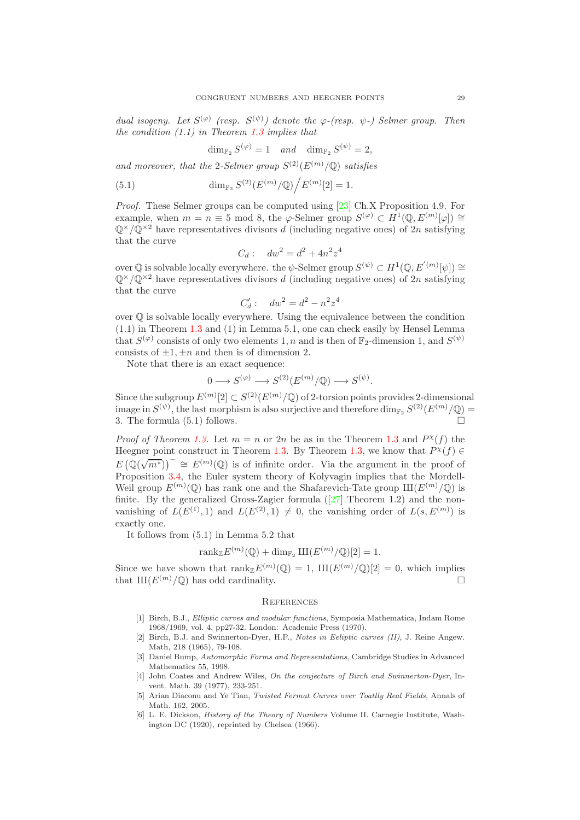*dual isogeny. Let*  $S^{(\varphi)}$  (resp.  $S^{(\psi)}$ ) denote the  $\varphi$ -(resp.  $\psi$ -) Selmer group. Then *the condition (1.1) in Theorem [1.3](#page-1-0) implies that*

$$
\dim_{\mathbb{F}_2} S^{(\varphi)} = 1 \quad and \quad \dim_{\mathbb{F}_2} S^{(\psi)} = 2,
$$

and moreover, that the 2-Selmer group  $S^{(2)}(E^{(m)}/\mathbb{Q})$  satisfies

(5.1) 
$$
\dim_{\mathbb{F}_2} S^{(2)}(E^{(m)}/\mathbb{Q})/E^{(m)}[2] = 1.
$$

*Proof.* These Selmer groups can be computed using [\[23\]](#page-29-15) Ch.X Proposition 4.9. For example, when  $m = n \equiv 5 \mod 8$ , the  $\varphi$ -Selmer group  $S^{(\varphi)} \subset H^1(\mathbb{Q}, E^{(m)}[\varphi]) \cong$  $\mathbb{Q}^{\times}/\mathbb{Q}^{\times 2}$  have representatives divisors d (including negative ones) of  $2n$  satisfying that the curve

$$
C_d: \quad dw^2 = d^2 + 4n^2z^4
$$

over  $\mathbb{Q}$  is solvable locally everywhere. the  $\psi$ -Selmer group  $S^{(\psi)} \subset H^1(\mathbb{Q}, E'(m)[\psi]) \cong$  $\mathbb{Q}^{\times}/\mathbb{Q}^{\times 2}$  have representatives divisors d (including negative ones) of  $2n$  satisfying that the curve

$$
C'_d: \quad dw^2 = d^2 - n^2 z^4
$$

over Q is solvable locally everywhere. Using the equivalence between the condition (1.1) in Theorem [1.3](#page-1-0) and (1) in Lemma 5.1, one can check easily by Hensel Lemma that  $S^{(\varphi)}$  consists of only two elements 1, n and is then of  $\mathbb{F}_2$ -dimension 1, and  $S^{(\psi)}$ consists of  $\pm 1, \pm n$  and then is of dimension 2.

Note that there is an exact sequence:

$$
0 \longrightarrow S^{(\varphi)} \longrightarrow S^{(2)}(E^{(m)}/\mathbb{Q}) \longrightarrow S^{(\psi)}.
$$

Since the subgroup  $E^{(m)}[2] \subset S^{(2)}(E^{(m)}/\mathbb{Q})$  of 2-torsion points provides 2-dimensional image in  $S^{(\psi)}$ , the last morphism is also surjective and therefore  $\dim_{\mathbb{F}_2} S^{(2)}(E^{(m)}/\mathbb{Q}) =$ 3. The formula  $(5.1)$  follows.

*Proof of Theorem [1.3.](#page-1-0)* Let  $m = n$  or 2n be as in the Theorem [1.3](#page-1-0) and  $P^{\chi}(f)$  the Heegner point construct in Theorem [1.3.](#page-1-0) By Theorem [1.3,](#page-1-0) we know that  $P^{\chi}(f) \in$  $E(\mathbb{Q}(\sqrt{m^*}))^-\cong E^{(m)}(\mathbb{Q})$  is of infinite order. Via the argument in the proof of Proposition [3.4,](#page-13-1) the Euler system theory of Kolyvagin implies that the Mordell-Weil group  $E^{(m)}(\mathbb{Q})$  has rank one and the Shafarevich-Tate group  $\text{III}(E^{(m)}/\mathbb{Q})$  is finite.By the generalized Gross-Zagier formula  $(27)$  Theorem 1.2) and the nonvanishing of  $L(E^{(1)}, 1)$  and  $L(E^{(2)}, 1) \neq 0$ , the vanishing order of  $L(s, E^{(m)})$  is exactly one.

It follows from (5.1) in Lemma 5.2 that

$$
\mathrm{rank}_{\mathbb{Z}} E^{(m)}(\mathbb{Q}) + \dim_{\mathbb{F}_2} \mathrm{III}(E^{(m)}/\mathbb{Q})[2] = 1.
$$

Since we have shown that  $\text{rank}_{\mathbb{Z}} E^{(m)}(\mathbb{Q}) = 1$ ,  $\text{III}(E^{(m)}/\mathbb{Q})[2] = 0$ , which implies that  $\text{III}(E^{(m)}/\mathbb{O})$  has odd cardinality.

### <span id="page-28-0"></span>**REFERENCES**

- <span id="page-28-2"></span>[1] Birch, B.J., Elliptic curves and modular functions, Symposia Mathematica, Indam Rome 1968/1969, vol. 4, pp27-32. London: Academic Press (1970).
- <span id="page-28-4"></span>[2] Birch, B.J. and Swinnerton-Dyer, H.P., Notes in Eeliptic curves (II), J. Reine Angew. Math, 218 (1965), 79-108.
- <span id="page-28-5"></span>[3] Daniel Bump, Automorphic Forms and Representations, Cambridge Studies in Advanced Mathematics 55, 1998.
- <span id="page-28-3"></span>[4] John Coates and Andrew Wiles, On the conjecture of Birch and Swinnerton-Dyer, Invent. Math. 39 (1977), 233-251.
- [5] Arian Diaconu and Ye Tian, Twisted Fermat Curves over Toatlly Real Fields, Annals of Math. 162, 2005.
- <span id="page-28-1"></span>[6] L. E. Dickson, History of the Theory of Numbers Volume II. Carnegie Institute, Washington DC (1920), reprinted by Chelsea (1966).